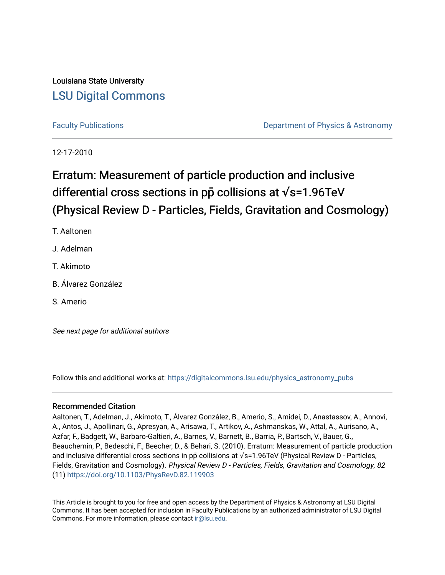# Louisiana State University [LSU Digital Commons](https://digitalcommons.lsu.edu/)

[Faculty Publications](https://digitalcommons.lsu.edu/physics_astronomy_pubs) **Example 2** Constant Department of Physics & Astronomy

12-17-2010

# Erratum: Measurement of particle production and inclusive differential cross sections in  $p\bar{p}$  collisions at  $\sqrt{s}$ =1.96TeV (Physical Review D - Particles, Fields, Gravitation and Cosmology)

- T. Aaltonen
- J. Adelman
- T. Akimoto
- B. Álvarez González
- S. Amerio

See next page for additional authors

Follow this and additional works at: [https://digitalcommons.lsu.edu/physics\\_astronomy\\_pubs](https://digitalcommons.lsu.edu/physics_astronomy_pubs?utm_source=digitalcommons.lsu.edu%2Fphysics_astronomy_pubs%2F2378&utm_medium=PDF&utm_campaign=PDFCoverPages) 

# Recommended Citation

Aaltonen, T., Adelman, J., Akimoto, T., Álvarez González, B., Amerio, S., Amidei, D., Anastassov, A., Annovi, A., Antos, J., Apollinari, G., Apresyan, A., Arisawa, T., Artikov, A., Ashmanskas, W., Attal, A., Aurisano, A., Azfar, F., Badgett, W., Barbaro-Galtieri, A., Barnes, V., Barnett, B., Barria, P., Bartsch, V., Bauer, G., Beauchemin, P., Bedeschi, F., Beecher, D., & Behari, S. (2010). Erratum: Measurement of particle production and inclusive differential cross sections in pp collisions at √s=1.96TeV (Physical Review D - Particles, Fields, Gravitation and Cosmology). Physical Review D - Particles, Fields, Gravitation and Cosmology, 82 (11) <https://doi.org/10.1103/PhysRevD.82.119903>

This Article is brought to you for free and open access by the Department of Physics & Astronomy at LSU Digital Commons. It has been accepted for inclusion in Faculty Publications by an authorized administrator of LSU Digital Commons. For more information, please contact [ir@lsu.edu](mailto:ir@lsu.edu).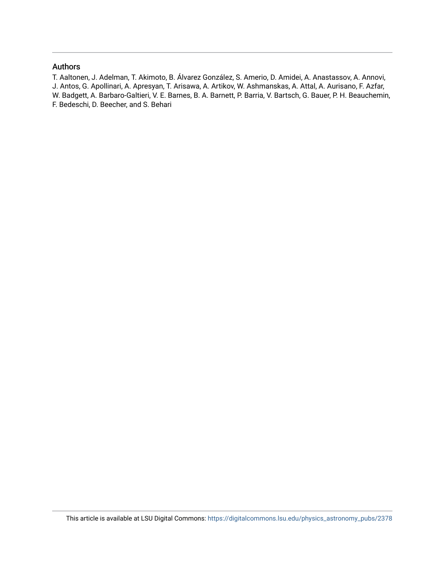### Authors

T. Aaltonen, J. Adelman, T. Akimoto, B. Álvarez González, S. Amerio, D. Amidei, A. Anastassov, A. Annovi, J. Antos, G. Apollinari, A. Apresyan, T. Arisawa, A. Artikov, W. Ashmanskas, A. Attal, A. Aurisano, F. Azfar, W. Badgett, A. Barbaro-Galtieri, V. E. Barnes, B. A. Barnett, P. Barria, V. Bartsch, G. Bauer, P. H. Beauchemin, F. Bedeschi, D. Beecher, and S. Behari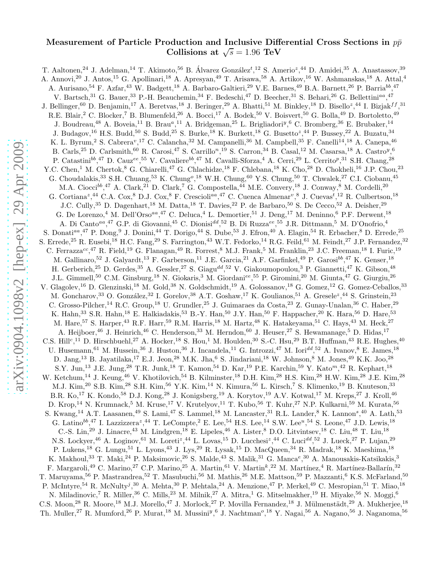# Measurement of Particle Production and Inclusive Differential Cross Sections in  $p\bar{p}$ Collisions at  $\sqrt{s} = 1.96 \text{ TeV}$

T. Aaltonen,<sup>24</sup> J. Adelman,<sup>14</sup> T. Akimoto,<sup>56</sup> B. Álvarez González<sup>t</sup>,<sup>12</sup> S. Amerio<sup>z</sup>,<sup>44</sup> D. Amidei,<sup>35</sup> A. Anastassov,<sup>39</sup> A. Annovi,<sup>20</sup> J. Antos,<sup>15</sup> G. Apollinari,<sup>18</sup> A. Apresyan,<sup>49</sup> T. Arisawa,<sup>58</sup> A. Artikov,<sup>16</sup> W. Ashmanskas,<sup>18</sup> A. Attal,<sup>4</sup> A. Aurisano,<sup>54</sup> F. Azfar,<sup>43</sup> W. Badgett,<sup>18</sup> A. Barbaro-Galtieri,<sup>29</sup> V.E. Barnes,<sup>49</sup> B.A. Barnett,<sup>26</sup> P. Barria<sup>bb</sup>,<sup>47</sup> V. Bartsch,<sup>31</sup> G. Bauer,<sup>33</sup> P.-H. Beauchemin,<sup>34</sup> F. Bedeschi,<sup>47</sup> D. Beecher,<sup>31</sup> S. Behari,<sup>26</sup> G. Bellettini<sup>aa</sup>,<sup>47</sup> J. Bellinger,  $^{60}$  D. Benjamin,  $^{17}$  A. Beretvas,  $^{18}$  J. Beringer,  $^{29}$  A. Bhatti,  $^{51}$  M. Binkley,  $^{18}$  D. Bisello<sup>z</sup>,  $^{44}$  I. Bizjak $^{ff}$ ,  $^{31}$ R.E. Blair,<sup>2</sup> C. Blocker,<sup>7</sup> B. Blumenfeld,<sup>26</sup> A. Bocci,<sup>17</sup> A. Bodek,<sup>50</sup> V. Boisvert,<sup>50</sup> G. Bolla,<sup>49</sup> D. Bortoletto,<sup>49</sup> J. Boudreau,<sup>48</sup> A. Boveia,<sup>11</sup> B. Brau<sup>a</sup>,<sup>11</sup> A. Bridgeman,<sup>25</sup> L. Brigliadori<sup>y</sup>,<sup>6</sup> C. Bromberg,<sup>36</sup> E. Brubaker,<sup>14</sup> J. Budagov,<sup>16</sup> H.S. Budd,<sup>50</sup> S. Budd,<sup>25</sup> S. Burke,<sup>18</sup> K. Burkett,<sup>18</sup> G. Busetto<sup>z</sup>,<sup>44</sup> P. Bussey,<sup>22</sup> A. Buzatu,<sup>34</sup> K. L. Byrum,<sup>2</sup> S. Cabrera<sup>v</sup>,<sup>17</sup> C. Calancha,<sup>32</sup> M. Campanelli,<sup>36</sup> M. Campbell,<sup>35</sup> F. Canelli<sup>14</sup>,<sup>18</sup> A. Canepa,<sup>46</sup> B. Carls,<sup>25</sup> D. Carlsmith,<sup>60</sup> R. Carosi,<sup>47</sup> S. Carrillo<sup>n</sup>,<sup>19</sup> S. Carron,<sup>34</sup> B. Casal,<sup>12</sup> M. Casarsa,<sup>18</sup> A. Castro<sup>y</sup>,<sup>6</sup> P. Catastini<sup>bb</sup>,<sup>47</sup> D. Cauz<sup>ee</sup>,<sup>55</sup> V. Cavaliere<sup>bb</sup>,<sup>47</sup> M. Cavalli-Sforza,<sup>4</sup> A. Cerri,<sup>29</sup> L. Cerrito<sup>p</sup>,<sup>31</sup> S.H. Chang,<sup>28</sup> Y.C. Chen,<sup>1</sup> M. Chertok,<sup>8</sup> G. Chiarelli,<sup>47</sup> G. Chlachidze,<sup>18</sup> F. Chlebana,<sup>18</sup> K. Cho,<sup>28</sup> D. Chokheli,<sup>16</sup> J.P. Chou,<sup>23</sup> G. Choudalakis,<sup>33</sup> S.H. Chuang,<sup>53</sup> K. Chung<sup>o</sup>,<sup>18</sup> W.H. Chung,<sup>60</sup> Y.S. Chung,<sup>50</sup> T. Chwalek,<sup>27</sup> C.I. Ciobanu,<sup>45</sup> M.A. Ciocci<sup>bb</sup>,<sup>47</sup> A. Clark,<sup>21</sup> D. Clark,<sup>7</sup> G. Compostella,<sup>44</sup> M.E. Convery,<sup>18</sup> J. Conway,<sup>8</sup> M. Cordelli,<sup>20</sup> G. Cortiana<sup>z</sup>,<sup>44</sup> C.A. Cox,<sup>8</sup> D.J. Cox,<sup>8</sup> F. Crescioli<sup>aa</sup>,<sup>47</sup> C. Cuenca Almenar<sup>v</sup>,<sup>8</sup> J. Cuevas<sup>t</sup>,<sup>12</sup> R. Culbertson,<sup>18</sup> J.C. Cully,<sup>35</sup> D. Dagenhart,<sup>18</sup> M. Datta,<sup>18</sup> T. Davies,<sup>22</sup> P. de Barbaro,<sup>50</sup> S. De Cecco,<sup>52</sup> A. Deisher,<sup>29</sup> G. De Lorenzo,<sup>4</sup> M. Dell'Orso<sup>aa</sup>,<sup>47</sup> C. Deluca,<sup>4</sup> L. Demortier,<sup>51</sup> J. Deng,<sup>17</sup> M. Deninno,<sup>6</sup> P.F. Derwent,<sup>18</sup> A. Di Canto<sup>aa</sup>,<sup>47</sup> G.P. di Giovanni,<sup>45</sup> C. Dionisi<sup>dd</sup>,<sup>52</sup> B. Di Ruzza<sup>ee</sup>,<sup>55</sup> J.R. Dittmann,<sup>5</sup> M. D'Onofrio,<sup>4</sup> S. Donati<sup>aa</sup>,<sup>47</sup> P. Dong,<sup>9</sup> J. Donini,<sup>44</sup> T. Dorigo,<sup>44</sup> S. Dube,<sup>53</sup> J. Efron,<sup>40</sup> A. Elagin,<sup>54</sup> R. Erbacher,<sup>8</sup> D. Errede,<sup>25</sup> S. Errede,<sup>25</sup> R. Eusebi,<sup>18</sup> H.C. Fang,<sup>29</sup> S. Farrington,<sup>43</sup> W.T. Fedorko,<sup>14</sup> R.G. Feild,<sup>61</sup> M. Feindt,<sup>27</sup> J.P. Fernandez,<sup>32</sup> C. Ferrazza<sup>cc</sup>,<sup>47</sup> R. Field,<sup>19</sup> G. Flanagan,<sup>49</sup> R. Forrest,<sup>8</sup> M.J. Frank,<sup>5</sup> M. Franklin,<sup>23</sup> J.C. Freeman,<sup>18</sup> I. Furic,<sup>19</sup> M. Gallinaro,<sup>52</sup> J. Galyardt,<sup>13</sup> F. Garberson,<sup>11</sup> J.E. Garcia,<sup>21</sup> A.F. Garfinkel,<sup>49</sup> P. Garosi<sup>bb</sup>,<sup>47</sup> K. Genser,<sup>18</sup> H. Gerberich,<sup>25</sup> D. Gerdes,<sup>35</sup> A. Gessler,<sup>27</sup> S. Giagu<sup>dd</sup>,<sup>52</sup> V. Giakoumopoulou,<sup>3</sup> P. Giannetti,<sup>47</sup> K. Gibson,<sup>48</sup> J.L. Gimmell,<sup>50</sup> C.M. Ginsburg,<sup>18</sup> N. Giokaris,<sup>3</sup> M. Giordani<sup>ee</sup>,<sup>55</sup> P. Giromini,<sup>20</sup> M. Giunta,<sup>47</sup> G. Giurgiu,<sup>26</sup> V. Glagolev,<sup>16</sup> D. Glenzinski,<sup>18</sup> M. Gold,<sup>38</sup> N. Goldschmidt,<sup>19</sup> A. Golossanov,<sup>18</sup> G. Gomez,<sup>12</sup> G. Gomez-Ceballos,<sup>33</sup> M. Goncharov,<sup>33</sup> O. González,<sup>32</sup> I. Gorelov,<sup>38</sup> A.T. Goshaw,<sup>17</sup> K. Goulianos,<sup>51</sup> A. Gresele<sup>z</sup>,<sup>44</sup> S. Grinstein,<sup>23</sup> C. Grosso-Pilcher,<sup>14</sup> R.C. Group,<sup>18</sup> U. Grundler,<sup>25</sup> J. Guimaraes da Costa,<sup>23</sup> Z. Gunay-Unalan,<sup>36</sup> C. Haber,<sup>29</sup> K. Hahn,<sup>33</sup> S.R. Hahn,<sup>18</sup> E. Halkiadakis,<sup>53</sup> B.-Y. Han,<sup>50</sup> J.Y. Han,<sup>50</sup> F. Happacher,<sup>20</sup> K. Hara,<sup>56</sup> D. Hare,<sup>53</sup> M. Hare,<sup>57</sup> S. Harper,<sup>43</sup> R.F. Harr,<sup>59</sup> R.M. Harris,<sup>18</sup> M. Hartz,<sup>48</sup> K. Hatakeyama,<sup>51</sup> C. Hays,<sup>43</sup> M. Heck,<sup>27</sup> A. Heijboer,<sup>46</sup> J. Heinrich,<sup>46</sup> C. Henderson,<sup>33</sup> M. Herndon,<sup>60</sup> J. Heuser,<sup>27</sup> S. Hewamanage,<sup>5</sup> D. Hidas,<sup>17</sup> C.S. Hill<sup>c</sup>,<sup>11</sup> D. Hirschbuehl,<sup>27</sup> A. Hocker,<sup>18</sup> S. Hou,<sup>1</sup> M. Houlden,<sup>30</sup> S.-C. Hsu,<sup>29</sup> B.T. Huffman,<sup>43</sup> R.E. Hughes,<sup>40</sup> U. Husemann, <sup>61</sup> M. Hussein, <sup>36</sup> J. Huston, <sup>36</sup> J. Incandela, <sup>11</sup> G. Introzzi, <sup>47</sup> M. Iori<sup>dd</sup>, <sup>52</sup> A. Ivanov, <sup>8</sup> E. James, <sup>18</sup> D. Jang,<sup>13</sup> B. Jayatilaka,<sup>17</sup> E.J. Jeon,<sup>28</sup> M.K. Jha,<sup>6</sup> S. Jindariani,<sup>18</sup> W. Johnson,<sup>8</sup> M. Jones,<sup>49</sup> K.K. Joo,<sup>28</sup> S.Y. Jun,<sup>13</sup> J.E. Jung,<sup>28</sup> T.R. Junk,<sup>18</sup> T. Kamon,<sup>54</sup> D. Kar,<sup>19</sup> P.E. Karchin,<sup>59</sup> Y. Kato<sup>m</sup>,<sup>42</sup> R. Kephart,<sup>18</sup> W. Ketchum,<sup>14</sup> J. Keung,<sup>46</sup> V. Khotilovich,<sup>54</sup> B. Kilminster,<sup>18</sup> D.H. Kim,<sup>28</sup> H.S. Kim,<sup>28</sup> H.W. Kim,<sup>28</sup> J.E. Kim,<sup>28</sup> M.J. Kim,<sup>20</sup> S.B. Kim,<sup>28</sup> S.H. Kim,<sup>56</sup> Y.K. Kim,<sup>14</sup> N. Kimura,<sup>56</sup> L. Kirsch,<sup>7</sup> S. Klimenko,<sup>19</sup> B. Knuteson,<sup>33</sup> B.R. Ko,<sup>17</sup> K. Kondo,<sup>58</sup> D.J. Kong,<sup>28</sup> J. Konigsberg,<sup>19</sup> A. Korytov,<sup>19</sup> A.V. Kotwal,<sup>17</sup> M. Kreps,<sup>27</sup> J. Kroll,<sup>46</sup> D. Krop,<sup>14</sup> N. Krumnack,<sup>5</sup> M. Kruse,<sup>17</sup> V. Krutelyov,<sup>11</sup> T. Kubo,<sup>56</sup> T. Kuhr,<sup>27</sup> N.P. Kulkarni,<sup>59</sup> M. Kurata,<sup>56</sup> S. Kwang,<sup>14</sup> A.T. Laasanen,<sup>49</sup> S. Lami,<sup>47</sup> S. Lammel,<sup>18</sup> M. Lancaster,<sup>31</sup> R.L. Lander,<sup>8</sup> K. Lannon<sup>s</sup>,<sup>40</sup> A. Lath,<sup>53</sup> G. Latino<sup>bb</sup>,<sup>47</sup> I. Lazzizzera<sup>z</sup>,<sup>44</sup> T. LeCompte,<sup>2</sup> E. Lee,<sup>54</sup> H.S. Lee,<sup>14</sup> S.W. Lee<sup>u</sup>,<sup>54</sup> S. Leone,<sup>47</sup> J.D. Lewis,<sup>18</sup> C.-S. Lin,<sup>29</sup> J. Linacre,<sup>43</sup> M. Lindgren,<sup>18</sup> E. Lipeles,<sup>46</sup> A. Lister,<sup>8</sup> D.O. Litvintsev,<sup>18</sup> C. Liu,<sup>48</sup> T. Liu,<sup>18</sup> N.S. Lockyer,<sup>46</sup> A. Loginov,<sup>61</sup> M. Loreti<sup>z</sup>,<sup>44</sup> L. Lovas,<sup>15</sup> D. Lucchesi<sup>z</sup>,<sup>44</sup> C. Luci<sup>dd</sup>,<sup>52</sup> J. Lueck,<sup>27</sup> P. Lujan,<sup>29</sup> P. Lukens,<sup>18</sup> G. Lungu,<sup>51</sup> L. Lyons,<sup>43</sup> J. Lys,<sup>29</sup> R. Lysak,<sup>15</sup> D. MacQueen,<sup>34</sup> R. Madrak,<sup>18</sup> K. Maeshima,<sup>18</sup> K. Makhoul,<sup>33</sup> T. Maki,<sup>24</sup> P. Maksimovic,<sup>26</sup> S. Malde,<sup>43</sup> S. Malik,<sup>31</sup> G. Manca<sup>e</sup>,<sup>30</sup> A. Manousakis-Katsikakis,<sup>3</sup> F. Margaroli,<sup>49</sup> C. Marino,<sup>27</sup> C.P. Marino,<sup>25</sup> A. Martin,<sup>61</sup> V. Martin<sup>k</sup>,<sup>22</sup> M. Martínez,<sup>4</sup> R. Martínez-Ballarín,<sup>32</sup> T. Maruyama,<sup>56</sup> P. Mastrandrea,<sup>52</sup> T. Masubuchi,<sup>56</sup> M. Mathis,<sup>26</sup> M.E. Mattson,<sup>59</sup> P. Mazzanti,<sup>6</sup> K.S. McFarland,<sup>50</sup> P. McIntyre,<sup>54</sup> R. McNulty<sup>j</sup>,<sup>30</sup> A. Mehta,<sup>30</sup> P. Mehtala,<sup>24</sup> A. Menzione,<sup>47</sup> P. Merkel,<sup>49</sup> C. Mesropian,<sup>51</sup> T. Miao,<sup>18</sup> N. Miladinovic,<sup>7</sup> R. Miller,<sup>36</sup> C. Mills,<sup>23</sup> M. Milnik,<sup>27</sup> A. Mitra,<sup>1</sup> G. Mitselmakher,<sup>19</sup> H. Miyake,<sup>56</sup> N. Moggi,<sup>6</sup> C.S. Moon,<sup>28</sup> R. Moore,<sup>18</sup> M.J. Morello,<sup>47</sup> J. Morlock,<sup>27</sup> P. Movilla Fernandez,<sup>18</sup> J. Mülmenstädt,<sup>29</sup> A. Mukherjee,<sup>18</sup> Th. Muller,<sup>27</sup> R. Mumford,<sup>26</sup> P. Murat,<sup>18</sup> M. Mussini<sup>y</sup>,<sup>6</sup> J. Nachtman<sup>0</sup>,<sup>18</sup> Y. Nagai,<sup>56</sup> A. Nagano,<sup>56</sup> J. Naganoma,<sup>56</sup>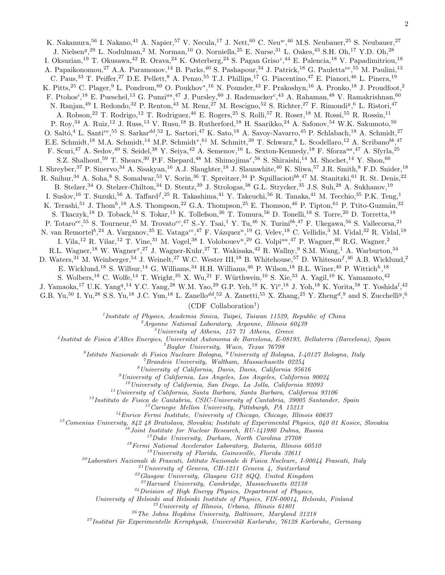K. Nakamura,<sup>56</sup> I. Nakano,<sup>41</sup> A. Napier,<sup>57</sup> V. Necula,<sup>17</sup> J. Nett,<sup>60</sup> C. Neu<sup>w</sup>,<sup>46</sup> M.S. Neubauer,<sup>25</sup> S. Neubauer,<sup>27</sup> J. Nielsen<sup>g</sup>,<sup>29</sup> L. Nodulman,<sup>2</sup> M. Norman,<sup>10</sup> O. Norniella,<sup>25</sup> E. Nurse,<sup>31</sup> L. Oakes,<sup>43</sup> S.H. Oh,<sup>17</sup> Y.D. Oh,<sup>28</sup> I. Oksuzian,<sup>19</sup> T. Okusawa,<sup>42</sup> R. Orava,<sup>24</sup> K. Osterberg,<sup>24</sup> S. Pagan Griso<sup>z</sup>,<sup>44</sup> E. Palencia,<sup>18</sup> V. Papadimitriou,<sup>18</sup> A. Papaikonomou,<sup>27</sup> A.A. Paramonov,<sup>14</sup> B. Parks,<sup>40</sup> S. Pashapour,<sup>34</sup> J. Patrick,<sup>18</sup> G. Pauletta<sup>ee</sup>,<sup>55</sup> M. Paulini,<sup>13</sup> C. Paus,<sup>33</sup> T. Peiffer,<sup>27</sup> D.E. Pellett,<sup>8</sup> A. Penzo,<sup>55</sup> T.J. Phillips,<sup>17</sup> G. Piacentino,<sup>47</sup> E. Pianori,<sup>46</sup> L. Pinera,<sup>19</sup> K. Pitts,<sup>25</sup> C. Plager,<sup>9</sup> L. Pondrom,<sup>60</sup> O. Poukhov<sup>\*</sup>,<sup>16</sup> N. Pounder,<sup>43</sup> F. Prakoshyn,<sup>16</sup> A. Pronko,<sup>18</sup> J. Proudfoot,<sup>2</sup> F. Ptohos<sup>i</sup>,<sup>18</sup> E. Pueschel,<sup>13</sup> G. Punzi<sup>aa</sup>,<sup>47</sup> J. Pursley,<sup>60</sup> J. Rademacker<sup>c</sup>,<sup>43</sup> A. Rahaman,<sup>48</sup> V. Ramakrishnan,<sup>60</sup> N. Ranjan,<sup>49</sup> I. Redondo,<sup>32</sup> P. Renton,<sup>43</sup> M. Renz,<sup>27</sup> M. Rescigno,<sup>52</sup> S. Richter,<sup>27</sup> F. Rimondi<sup>y</sup>,<sup>6</sup> L. Ristori,<sup>47</sup> A. Robson,<sup>22</sup> T. Rodrigo,<sup>12</sup> T. Rodriguez,<sup>46</sup> E. Rogers,<sup>25</sup> S. Rolli,<sup>57</sup> R. Roser,<sup>18</sup> M. Rossi,<sup>55</sup> R. Rossin,<sup>11</sup> P. Roy,<sup>34</sup> A. Ruiz,<sup>12</sup> J. Russ,<sup>13</sup> V. Rusu,<sup>18</sup> B. Rutherford,<sup>18</sup> H. Saarikko,<sup>24</sup> A. Safonov,<sup>54</sup> W.K. Sakumoto,<sup>50</sup> O. Saltó,<sup>4</sup> L. Santi<sup>ee</sup>,<sup>55</sup> S. Sarkar<sup>dd</sup>,<sup>52</sup> L. Sartori,<sup>47</sup> K. Sato,<sup>18</sup> A. Savoy-Navarro,<sup>45</sup> P. Schlabach,<sup>18</sup> A. Schmidt,<sup>27</sup> E.E. Schmidt,<sup>18</sup> M.A. Schmidt,<sup>14</sup> M.P. Schmidt<sup>∗</sup>,<sup>61</sup> M. Schmitt,<sup>39</sup> T. Schwarz,<sup>8</sup> L. Scodellaro,<sup>12</sup> A. Scribano<sup>bb</sup>,<sup>47</sup> F. Scuri,<sup>47</sup> A. Sedov,<sup>49</sup> S. Seidel,<sup>38</sup> Y. Seiya,<sup>42</sup> A. Semenov,<sup>16</sup> L. Sexton-Kennedy,<sup>18</sup> F. Sforza<sup>aa</sup>,<sup>47</sup> A. Sfyrla,<sup>25</sup> S.Z. Shalhout,<sup>59</sup> T. Shears,<sup>30</sup> P.F. Shepard,<sup>48</sup> M. Shimojima<sup>r</sup>,<sup>56</sup> S. Shiraishi,<sup>14</sup> M. Shochet,<sup>14</sup> Y. Shon,<sup>60</sup> I. Shreyber,<sup>37</sup> P. Sinervo,<sup>34</sup> A. Sisakyan,<sup>16</sup> A.J. Slaughter,<sup>18</sup> J. Slaunwhite,<sup>40</sup> K. Sliwa,<sup>57</sup> J.R. Smith,<sup>8</sup> F.D. Snider,<sup>18</sup> R. Snihur,<sup>34</sup> A. Soha,<sup>8</sup> S. Somalwar,<sup>53</sup> V. Sorin,<sup>36</sup> T. Spreitzer,<sup>34</sup> P. Squillacioti<sup>bb</sup>,<sup>47</sup> M. Stanitzki,<sup>61</sup> R. St. Denis,<sup>22</sup> B. Stelzer,<sup>34</sup> O. Stelzer-Chilton,<sup>34</sup> D. Stentz,<sup>39</sup> J. Strologas,<sup>38</sup> G.L. Strycker,<sup>35</sup> J.S. Suh,<sup>28</sup> A. Sukhanov,<sup>19</sup> I. Suslov,<sup>16</sup> T. Suzuki,<sup>56</sup> A. Taffard<sup>f</sup>,<sup>25</sup> R. Takashima,<sup>41</sup> Y. Takeuchi,<sup>56</sup> R. Tanaka,<sup>41</sup> M. Tecchio,<sup>35</sup> P.K. Teng,<sup>1</sup> K. Terashi,<sup>51</sup> J. Thom<sup>h</sup>,<sup>18</sup> A.S. Thompson,<sup>22</sup> G.A. Thompson,<sup>25</sup> E. Thomson,<sup>46</sup> P. Tipton,<sup>61</sup> P. Ttito-Guzmán,<sup>32</sup> S. Tkaczyk,<sup>18</sup> D. Toback,<sup>54</sup> S. Tokar,<sup>15</sup> K. Tollefson,<sup>36</sup> T. Tomura,<sup>56</sup> D. Tonelli,<sup>18</sup> S. Torre,<sup>20</sup> D. Torretta,<sup>18</sup> P. Totaro<sup>ee</sup>,<sup>55</sup> S. Tourneur,<sup>45</sup> M. Trovato<sup>cc</sup>,<sup>47</sup> S.-Y. Tsai,<sup>1</sup> Y. Tu,<sup>46</sup> N. Turini<sup>bb</sup>,<sup>47</sup> F. Ukegawa,<sup>56</sup> S. Vallecorsa,<sup>21</sup> N. van Remortel<sup>b</sup>,<sup>24</sup> A. Varganov,<sup>35</sup> E. Vataga<sup>cc</sup>,<sup>47</sup> F. Vázquez<sup>n</sup>,<sup>19</sup> G. Velev,<sup>18</sup> C. Vellidis,<sup>3</sup> M. Vidal,<sup>32</sup> R. Vidal,<sup>18</sup> I. Vila,<sup>12</sup> R. Vilar,<sup>12</sup> T. Vine,<sup>31</sup> M. Vogel,<sup>38</sup> I. Volobouev<sup>u</sup>,<sup>29</sup> G. Volpi<sup>aa</sup>,<sup>47</sup> P. Wagner,<sup>46</sup> R.G. Wagner,<sup>2</sup> R.L. Wagner,<sup>18</sup> W. Wagner<sup>x</sup>,<sup>27</sup> J. Wagner-Kuhr,<sup>27</sup> T. Wakisaka,<sup>42</sup> R. Wallny,<sup>9</sup> S.M. Wang,<sup>1</sup> A. Warburton,<sup>34</sup> D. Waters,<sup>31</sup> M. Weinberger,<sup>54</sup> J. Weinelt,<sup>27</sup> W.C. Wester III,<sup>18</sup> B. Whitehouse,<sup>57</sup> D. Whiteson<sup>f</sup>,<sup>46</sup> A.B. Wicklund,<sup>2</sup> E. Wicklund,<sup>18</sup> S. Wilbur,<sup>14</sup> G. Williams,<sup>34</sup> H.H. Williams,<sup>46</sup> P. Wilson,<sup>18</sup> B.L. Winer,<sup>40</sup> P. Wittich<sup>h</sup>,<sup>18</sup> S. Wolbers,<sup>18</sup> C. Wolfe,<sup>14</sup> T. Wright,<sup>35</sup> X. Wu,<sup>21</sup> F. Würthwein,<sup>10</sup> S. Xie,<sup>33</sup> A. Yagil,<sup>10</sup> K. Yamamoto,<sup>42</sup> J. Yamaoka,<sup>17</sup> U.K. Yang<sup>q</sup>,<sup>14</sup> Y.C. Yang,<sup>28</sup> W.M. Yao,<sup>29</sup> G.P. Yeh,<sup>18</sup> K. Yi<sup>o</sup>,<sup>18</sup> J. Yoh,<sup>18</sup> K. Yorita,<sup>58</sup> T. Yoshida<sup>l</sup>,<sup>42</sup> G.B. Yu,<sup>50</sup> I. Yu,<sup>28</sup> S.S. Yu,<sup>18</sup> J.C. Yun,<sup>18</sup> L. Zanello<sup>dd</sup>,<sup>52</sup> A. Zanetti,<sup>55</sup> X. Zhang,<sup>25</sup> Y. Zheng<sup>d</sup>,<sup>9</sup> and S. Zucchelli<sup>y</sup>,<sup>6</sup>

(CDF Collaboration† )

<sup>1</sup>Institute of Physics, Academia Sinica, Taipei, Taiwan 11529, Republic of China

 ${}^2$ Argonne National Laboratory, Argonne, Illinois 60439

 $3$ University of Athens, 157 71 Athens, Greece

4 Institut de Fisica d'Altes Energies, Universitat Autonoma de Barcelona, E-08193, Bellaterra (Barcelona), Spain

 ${}^{5}$ Baylor University, Waco, Texas  $76798$ 

 ${}^6I$ stituto Nazionale di Fisica Nucleare Bologna, <sup>y</sup> University of Bologna, I-40127 Bologna, Italy

<sup>7</sup>Brandeis University, Waltham, Massachusetts 02254

<sup>8</sup>University of California, Davis, Davis, California 95616

 $<sup>9</sup> University of California, Los Angeles, Los Angeles, California 90024$ </sup>

 $10$ University of California, San Diego, La Jolla, California 92093

 $11$ University of California, Santa Barbara, Santa Barbara, California 93106

 $12$ Instituto de Fisica de Cantabria, CSIC-University of Cantabria, 39005 Santander, Spain

 $13$  Carnegie Mellon University, Pittsburgh, PA 15213

 $14$ Enrico Fermi Institute, University of Chicago, Chicago, Illinois 60637

<sup>15</sup>Comenius University, 842 48 Bratislava, Slovakia; Institute of Experimental Physics, 040 01 Kosice, Slovakia

 $^{16}$ Joint Institute for Nuclear Research, RU-141980 Dubna, Russia

<sup>17</sup>Duke University, Durham, North Carolina 27708

 $18$ Fermi National Accelerator Laboratory, Batavia, Illinois 60510

 $19$ University of Florida, Gainesville, Florida 32611

 $^{20}$ Laboratori Nazionali di Frascati, Istituto Nazionale di Fisica Nucleare, I-00044 Frascati, Italy

 $^{21}$ University of Geneva, CH-1211 Geneva 4, Switzerland

 $^{22}G$ lasgow University, Glasgow G12 8QQ, United Kingdom

 $^{23}$ Harvard University, Cambridge, Massachusetts 02138

<sup>24</sup>Division of High Energy Physics, Department of Physics,

University of Helsinki and Helsinki Institute of Physics, FIN-00014, Helsinki, Finland

 $^{25}$ University of Illinois, Urbana, Illinois 61801

 $^{26}$ The Johns Hopkins University, Baltimore, Maryland 21218

<sup>27</sup>Institut für Experimentelle Kernphysik, Universität Karlsruhe, 76128 Karlsruhe, Germany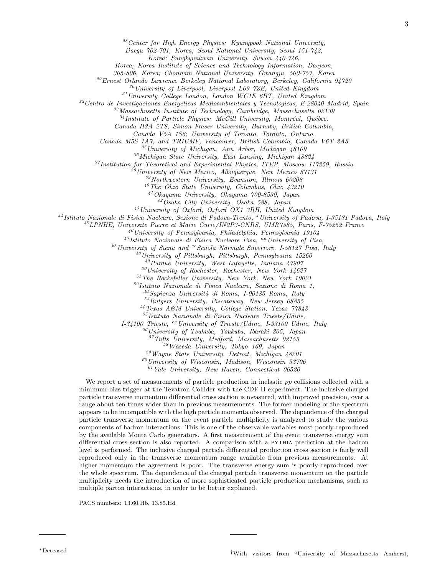Daegu 702-701, Korea; Seoul National University, Seoul 151-742,

Korea; Sungkyunkwan University, Suwon 440-746,

Korea; Korea Institute of Science and Technology Information, Daejeon,

305-806, Korea; Chonnam National University, Gwangju, 500-757, Korea

<sup>29</sup>Ernest Orlando Lawrence Berkeley National Laboratory, Berkeley, California 94720

 $30$ University of Liverpool, Liverpool L69 7ZE, United Kingdom

 $31$ University College London, London WC1E 6BT, United Kingdom

 $32$ Centro de Investigaciones Energeticas Medioambientales y Tecnologicas, E-28040 Madrid, Spain

 $3<sup>3</sup> Massachusetts$  Institute of Technology, Cambridge, Massachusetts 02139

 $34$ Institute of Particle Physics: McGill University, Montréal, Québec,

Canada H3A 2T8; Simon Fraser University, Burnaby, British Columbia,

Canada V5A 1S6; University of Toronto, Toronto, Ontario,

Canada M5S 1A7; and TRIUMF, Vancouver, British Columbia, Canada V6T 2A3

 $35$ University of Michigan, Ann Arbor, Michigan  $48109$ 

<sup>36</sup>Michigan State University, East Lansing, Michigan 48824

<sup>37</sup>Institution for Theoretical and Experimental Physics, ITEP, Moscow 117259, Russia

 $\hat{S}^s$ University of New Mexico, Albuquerque, New Mexico 87131

<sup>39</sup>Northwestern University, Evanston, Illinois 60208

 $^{40}$ The Ohio State University, Columbus, Ohio  $43210$ 

<sup>41</sup>Okayama University, Okayama 700-8530, Japan

<sup>42</sup>Osaka City University, Osaka 588, Japan

<sup>43</sup>University of Oxford, Oxford OX1 3RH, United Kingdom

 $^{44}$ Istituto Nazionale di Fisica Nucleare, Sezione di Padova-Trento, <sup>z</sup> University of Padova, I-35131 Padova, Italy

<sup>45</sup>LPNHE, Universite Pierre et Marie Curie/IN2P3-CNRS, UMR7585, Paris, F-75252 France

 $^{46}$ University of Pennsylvania, Philadelphia, Pennsylvania 19104

 $47$ Istituto Nazionale di Fisica Nucleare Pisa, <sup>aa</sup> University of Pisa,

 $^{bb}$  University of Siena and  $^{cc}$  Scuola Normale Superiore, I-56127 Pisa, Italy

 $^{48}$ University of Pittsburgh, Pittsburgh, Pennsylvania 15260

<sup>49</sup>Purdue University, West Lafayette, Indiana 47907

 $50$ University of Rochester, Rochester, New York 14627

 $51$  The Rockefeller University, New York, New York 10021

<sup>52</sup>Istituto Nazionale di Fisica Nucleare, Sezione di Roma 1,

 $\alpha^{dd}$ Sapienza Università di Roma, I-00185 Roma, Italy

 $53Rutgers University, Piscataway, New Jersey 08855$ <sup>54</sup>Texas A&M University, College Station, Texas 77843

<sup>55</sup>Istituto Nazionale di Fisica Nucleare Trieste/Udine,

 $I-34100$  Trieste, <sup>ee</sup> University of Trieste/Udine, I-33100 Udine, Italy

 $56$ University of Tsukuba, Tsukuba, Ibaraki 305, Japan

 $57$ Tufts University, Medford, Massachusetts 02155

<sup>58</sup>Waseda University, Tokyo 169, Japan

<sup>59</sup>Wayne State University, Detroit, Michigan 48201

 $^{60}$ University of Wisconsin, Madison, Wisconsin 53706

 $^{61}$ Yale University, New Haven, Connecticut 06520

We report a set of measurements of particle production in inelastic  $p\bar{p}$  collisions collected with a minimum-bias trigger at the Tevatron Collider with the CDF II experiment. The inclusive charged particle transverse momentum differential cross section is measured, with improved precision, over a range about ten times wider than in previous measurements. The former modeling of the spectrum appears to be incompatible with the high particle momenta observed. The dependence of the charged particle transverse momentum on the event particle multiplicity is analyzed to study the various components of hadron interactions. This is one of the observable variables most poorly reproduced by the available Monte Carlo generators. A first measurement of the event transverse energy sum differential cross section is also reported. A comparison with a pythia prediction at the hadron level is performed. The inclusive charged particle differential production cross section is fairly well reproduced only in the transverse momentum range available from previous measurements. At higher momentum the agreement is poor. The transverse energy sum is poorly reproduced over the whole spectrum. The dependence of the charged particle transverse momentum on the particle multiplicity needs the introduction of more sophisticated particle production mechanisms, such as multiple parton interactions, in order to be better explained.

PACS numbers: 13.60.Hb, 13.85.Hd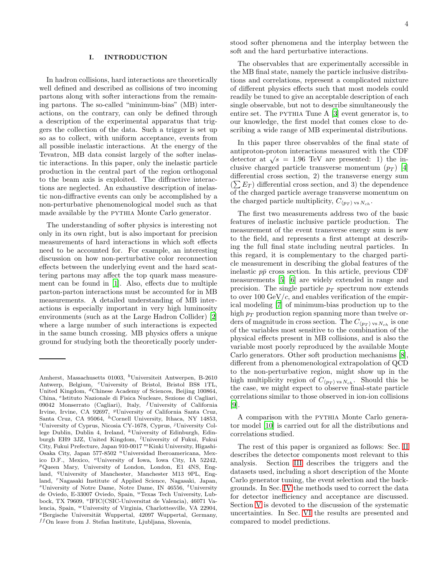#### I. INTRODUCTION

In hadron collisions, hard interactions are theoretically well defined and described as collisions of two incoming partons along with softer interactions from the remaining partons. The so-called "minimum-bias" (MB) interactions, on the contrary, can only be defined through a description of the experimental apparatus that triggers the collection of the data. Such a trigger is set up so as to collect, with uniform acceptance, events from all possible inelastic interactions. At the energy of the Tevatron, MB data consist largely of the softer inelastic interactions. In this paper, only the inelastic particle production in the central part of the region orthogonal to the beam axis is exploited. The diffractive interactions are neglected. An exhaustive description of inelastic non-diffractive events can only be accomplished by a non-perturbative phenomenological model such as that made available by the pythia Monte Carlo generator.

The understanding of softer physics is interesting not only in its own right, but is also important for precision measurements of hard interactions in which soft effects need to be accounted for. For example, an interesting discussion on how non-perturbative color reconnection effects between the underlying event and the hard scattering partons may affect the top quark mass measurement can be found in [\[1\]](#page-21-0). Also, effects due to multiple parton-parton interactions must be accounted for in MB measurements. A detailed understanding of MB interactions is especially important in very high luminosity environments (such as at the Large Hadron Collider) [\[2](#page-21-1)] where a large number of such interactions is expected in the same bunch crossing. MB physics offers a unique ground for studying both the theoretically poorly understood softer phenomena and the interplay between the soft and the hard perturbative interactions.

The observables that are experimentally accessible in the MB final state, namely the particle inclusive distributions and correlations, represent a complicated mixture of different physics effects such that most models could readily be tuned to give an acceptable description of each single observable, but not to describe simultaneously the entire set. The PYTHIA Tune A [\[3](#page-21-2)] event generator is, to our knowledge, the first model that comes close to describing a wide range of MB experimental distributions.

In this paper three observables of the final state of antiproton-proton interactions measured with the CDF detector at  $\sqrt{s} = 1.96$  TeV are presented: 1) the inclusive charged particle transverse momentum  $(p_T)$  [\[4](#page-21-3)] differential cross section, 2) the transverse energy sum  $(\sum E_T)$  differential cross section, and 3) the dependence of the charged particle average transverse momentum on the charged particle multiplicity,  $C_{\langle p_T \rangle \text{ vs } N_{ch}}$ .

The first two measurements address two of the basic features of inelastic inclusive particle production. The measurement of the event transverse energy sum is new to the field, and represents a first attempt at describing the full final state including neutral particles. In this regard, it is complementary to the charged particle measurement in describing the global features of the inelastic  $p\bar{p}$  cross section. In this article, previous CDF measurements [\[5](#page-21-4)] [\[6](#page-22-0)] are widely extended in range and precision. The single particle  $p_T$  spectrum now extends to over 100  $GeV/c$ , and enables verification of the empirical modeling [\[7\]](#page-22-1) of minimum-bias production up to the high  $p_T$  production region spanning more than twelve orders of magnitude in cross section. The  $C_{\langle p_T \rangle \text{ vs } N_{ch}}$  is one of the variables most sensitive to the combination of the physical effects present in MB collisions, and is also the variable most poorly reproduced by the available Monte Carlo generators. Other soft production mechanisms [\[8\]](#page-22-2), different from a phenomenological extrapolation of QCD to the non-perturbative region, might show up in the high multiplicity region of  $C_{\langle p_T \rangle \text{ vs } N_{ch} }$ . Should this be the case, we might expect to observe final-state particle correlations similar to those observed in ion-ion collisions [\[9\]](#page-22-3).

A comparison with the pythia Monte Carlo generator model [\[10](#page-22-4)] is carried out for all the distributions and correlations studied.

The rest of this paper is organized as follows: Sec. [II](#page-6-0) describes the detector components most relevant to this analysis. Section [III](#page-6-1) describes the triggers and the datasets used, including a short description of the Monte Carlo generator tuning, the event selection and the backgrounds. In Sec. [IV](#page-8-0) the methods used to correct the data for detector inefficiency and acceptance are discussed. Section [V](#page-11-0) is devoted to the discussion of the systematic uncertainties. In Sec. [VI](#page-13-0) the results are presented and compared to model predictions.

Amherst, Massachusetts 01003, <sup>b</sup>Universiteit Antwerpen, B-2610 Antwerp, Belgium, <sup>c</sup>University of Bristol, Bristol BS8 1TL, United Kingdom, <sup>d</sup>Chinese Academy of Sciences, Beijing 100864, China, <sup>e</sup> Istituto Nazionale di Fisica Nucleare, Sezione di Cagliari, 09042 Monserrato (Cagliari), Italy, <sup>f</sup>University of California Irvine, Irvine, CA 92697, <sup>g</sup>University of California Santa Cruz, Santa Cruz, CA 95064, <sup>h</sup>Cornell University, Ithaca, NY 14853, <sup>*i*</sup>University of Cyprus, Nicosia CY-1678, Cyprus, <sup>*j*</sup>University College Dublin, Dublin 4, Ireland,  $k$ University of Edinburgh, Edinburgh EH9 3JZ, United Kingdom, <sup>l</sup>University of Fukui, Fukui City, Fukui Prefecture, Japan 910-0017 <sup>m</sup>Kinki University, Higashi-Osaka City, Japan 577-8502 <sup>n</sup>Universidad Iberoamericana, Mexico D.F., Mexico, <sup>o</sup>University of Iowa, Iowa City, IA 52242, <sup>p</sup>Queen Mary, University of London, London, E1 4NS, England, <sup>q</sup>University of Manchester, Manchester M13 9PL, England, <sup>r</sup>Nagasaki Institute of Applied Science, Nagasaki, Japan,  ${}^s$ University of Notre Dame, Notre Dame, IN 46556,  ${}^t$ University de Oviedo, E-33007 Oviedo, Spain, <sup>u</sup>Texas Tech University, Lubbock, TX 79609, <sup>v</sup>IFIC(CSIC-Universitat de Valencia), 46071 Valencia, Spain, <sup>w</sup>University of Virginia, Charlottesville, VA 22904,  $x$ Bergische Universität Wuppertal, 42097 Wuppertal, Germany,  $^{ff} \mathrm{On}$  leave from J. Stefan Institute, Ljubljana, Slovenia,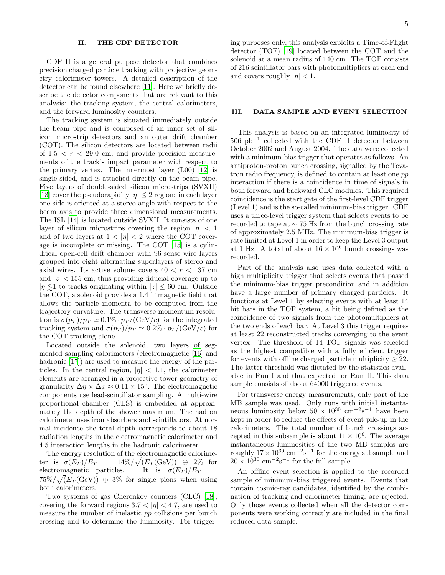#### <span id="page-6-0"></span>II. THE CDF DETECTOR

CDF II is a general purpose detector that combines precision charged particle tracking with projective geometry calorimeter towers. A detailed description of the detector can be found elsewhere [\[11\]](#page-22-5). Here we briefly describe the detector components that are relevant to this analysis: the tracking system, the central calorimeters, and the forward luminosity counters.

The tracking system is situated immediately outside the beam pipe and is composed of an inner set of silicon microstrip detectors and an outer drift chamber (COT). The silicon detectors are located between radii of  $1.5 < r < 29.0$  cm, and provide precision measurements of the track's impact parameter with respect to the primary vertex. The innermost layer (L00) [\[12](#page-22-6)] is single sided, and is attached directly on the beam pipe. Five layers of double-sided silicon microstrips (SVXII) [\[13\]](#page-22-7) cover the pseudorapidity  $|\eta| \leq 2$  region: in each layer one side is oriented at a stereo angle with respect to the beam axis to provide three dimensional measurements. The ISL [\[14\]](#page-22-8) is located outside SVXII. It consists of one layer of silicon microstrips covering the region  $|\eta| < 1$ and of two layers at  $1 < |\eta| < 2$  where the COT coverage is incomplete or missing. The COT [\[15\]](#page-22-9) is a cylindrical open-cell drift chamber with 96 sense wire layers grouped into eight alternating superlayers of stereo and axial wires. Its active volume covers  $40 < r < 137$  cm and  $|z|$  < 155 cm, thus providing fiducial coverage up to  $|\eta| \lesssim 1$  to tracks originating within  $|z| \leq 60$  cm. Outside that  $\log$  COT a solanced provides a 1.4 T magnetic field that the COT, a solenoid provides a 1.4 T magnetic field that allows the particle momenta to be computed from the trajectory curvature. The transverse momentum resolution is  $\sigma(p_T)/p_T \simeq 0.1\% \cdot p_T/(\text{GeV}/c)$  for the integrated tracking system and  $\sigma(p_T)/p_T \simeq 0.2\% \cdot p_T/(\text{GeV}/c)$  for the COT tracking alone.

Located outside the solenoid, two layers of segmented sampling calorimeters (electromagnetic [\[16\]](#page-22-10) and hadronic [\[17](#page-22-11)]) are used to measure the energy of the particles. In the central region,  $|\eta| < 1.1$ , the calorimeter elements are arranged in a projective tower geometry of granularity  $\Delta \eta \times \Delta \phi \approx 0.11 \times 15^{\circ}$ . The electromagnetic components use lead-scintillator sampling. A multi-wire proportional chamber (CES) is embedded at approximately the depth of the shower maximum. The hadron calorimeter uses iron absorbers and scintillators. At normal incidence the total depth corresponds to about 18 radiation lengths in the electromagnetic calorimeter and 4.5 interaction lengths in the hadronic calorimeter.

The energy resolution of the electromagnetic calorimeter is  $\sigma(E_T)/E_T = 14\% / \sqrt{(E_T (\text{GeV}))} \oplus 2\%$  for electromagnetic particles. It is  $\sigma(E_T)/E_T$  =  $75\%/\sqrt{(E_T(\text{GeV}))} \oplus 3\%$  for single pions when using both calorimeters.

Two systems of gas Cherenkov counters (CLC) [\[18\]](#page-22-12), covering the forward regions  $3.7 < |\eta| < 4.7$ , are used to measure the number of inelastic  $p\bar{p}$  collisions per bunch crossing and to determine the luminosity. For triggering purposes only, this analysis exploits a Time-of-Flight detector (TOF) [\[19\]](#page-22-13) located between the COT and the solenoid at a mean radius of 140 cm. The TOF consists of 216 scintillator bars with photomultipliers at each end and covers roughly  $|\eta| < 1$ .

#### <span id="page-6-1"></span>III. DATA SAMPLE AND EVENT SELECTION

This analysis is based on an integrated luminosity of 506 pb<sup>−</sup><sup>1</sup> collected with the CDF II detector between October 2002 and August 2004. The data were collected with a minimum-bias trigger that operates as follows. An antiproton-proton bunch crossing, signalled by the Tevatron radio frequency, is defined to contain at least one  $p\bar{p}$ interaction if there is a coincidence in time of signals in both forward and backward CLC modules. This required coincidence is the start gate of the first-level CDF trigger (Level 1) and is the so-called minimum-bias trigger. CDF uses a three-level trigger system that selects events to be recorded to tape at ∼ 75 Hz from the bunch crossing rate of approximately 2.5 MHz. The minimum-bias trigger is rate limited at Level 1 in order to keep the Level 3 output at 1 Hz. A total of about  $16 \times 10^6$  bunch crossings was recorded.

Part of the analysis also uses data collected with a high multiplicity trigger that selects events that passed the minimum-bias trigger precondition and in addition have a large number of primary charged particles. It functions at Level 1 by selecting events with at least 14 hit bars in the TOF system, a hit being defined as the coincidence of two signals from the photomultipliers at the two ends of each bar. At Level 3 this trigger requires at least 22 reconstructed tracks converging to the event vertex. The threshold of 14 TOF signals was selected as the highest compatible with a fully efficient trigger for events with offline charged particle multiplicity  $\geq 22$ . The latter threshold was dictated by the statistics available in Run I and that expected for Run II. This data sample consists of about 64000 triggered events.

For transverse energy measurements, only part of the MB sample was used. Only runs with initial instantaneous luminosity below  $50 \times 10^{30}$  cm<sup>-2</sup>s<sup>-1</sup> have been kept in order to reduce the effects of event pile-up in the calorimeters. The total number of bunch crossings accepted in this subsample is about  $11 \times 10^6$ . The average instantaneous luminosities of the two MB samples are roughly  $17 \times 10^{30}$  cm<sup>-2</sup>s<sup>-1</sup> for the energy subsample and  $20 \times 10^{30}$  cm<sup>-2</sup>s<sup>-1</sup> for the full sample.

An offline event selection is applied to the recorded sample of minimum-bias triggered events. Events that contain cosmic-ray candidates, identified by the combination of tracking and calorimeter timing, are rejected. Only those events collected when all the detector components were working correctly are included in the final reduced data sample.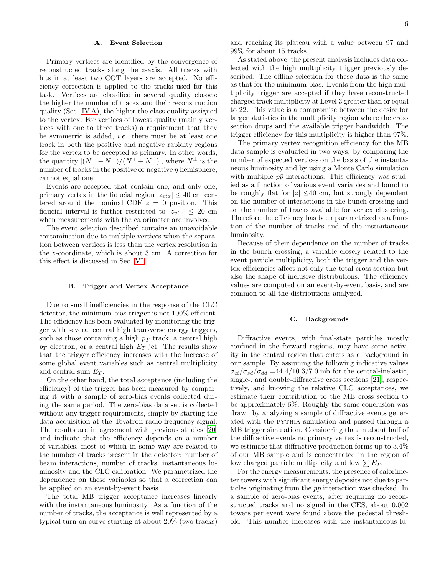#### A. Event Selection

Primary vertices are identified by the convergence of reconstructed tracks along the z-axis. All tracks with hits in at least two COT layers are accepted. No efficiency correction is applied to the tracks used for this task. Vertices are classified in several quality classes: the higher the number of tracks and their reconstruction quality (Sec. [IV A\)](#page-8-1), the higher the class quality assigned to the vertex. For vertices of lowest quality (mainly vertices with one to three tracks) a requirement that they be symmetric is added, i.e. there must be at least one track in both the positive and negative rapidity regions for the vertex to be accepted as primary. In other words, the quantity  $|(N^+ - N^-)/(N^+ + N^-)|$ , where  $N^{\pm}$  is the number of tracks in the positive or negative  $\eta$  hemisphere, cannot equal one.

Events are accepted that contain one, and only one, primary vertex in the fiducial region  $|z_{vtx}| \leq 40$  cm centered around the nominal CDF  $z = 0$  position. This fiducial interval is further restricted to  $|z_{vtx}| \leq 20$  cm when measurements with the calorimeter are involved.

The event selection described contains an unavoidable contamination due to multiple vertices when the separation between vertices is less than the vertex resolution in the z-coordinate, which is about 3 cm. A correction for this effect is discussed in Sec. [VI.](#page-13-0)

#### <span id="page-7-0"></span>B. Trigger and Vertex Acceptance

Due to small inefficiencies in the response of the CLC detector, the minimum-bias trigger is not 100% efficient. The efficiency has been evaluated by monitoring the trigger with several central high transverse energy triggers, such as those containing a high  $p_T$  track, a central high  $p_T$  electron, or a central high  $E_T$  jet. The results show that the trigger efficiency increases with the increase of some global event variables such as central multiplicity and central sum  $E_T$ .

On the other hand, the total acceptance (including the efficiency) of the trigger has been measured by comparing it with a sample of zero-bias events collected during the same period. The zero-bias data set is collected without any trigger requirements, simply by starting the data acquisition at the Tevatron radio-frequency signal. The results are in agreement with previous studies [\[20](#page-22-14)] and indicate that the efficiency depends on a number of variables, most of which in some way are related to the number of tracks present in the detector: number of beam interactions, number of tracks, instantaneous luminosity and the CLC calibration. We parametrized the dependence on these variables so that a correction can be applied on an event-by-event basis.

The total MB trigger acceptance increases linearly with the instantaneous luminosity. As a function of the number of tracks, the acceptance is well represented by a typical turn-on curve starting at about 20% (two tracks)

and reaching its plateau with a value between 97 and 99% for about 15 tracks.

As stated above, the present analysis includes data collected with the high multiplicity trigger previously described. The offline selection for these data is the same as that for the minimum-bias. Events from the high multiplicity trigger are accepted if they have reconstructed charged track multiplicity at Level 3 greater than or equal to 22. This value is a compromise between the desire for larger statistics in the multiplicity region where the cross section drops and the available trigger bandwidth. The trigger efficiency for this multiplicity is higher than 97%.

The primary vertex recognition efficiency for the MB data sample is evaluated in two ways: by comparing the number of expected vertices on the basis of the instantaneous luminosity and by using a Monte Carlo simulation with multiple  $p\bar{p}$  interactions. This efficiency was studied as a function of various event variables and found to be roughly flat for  $|z|$  <40 cm, but strongly dependent on the number of interactions in the bunch crossing and on the number of tracks available for vertex clustering. Therefore the efficiency has been parametrized as a function of the number of tracks and of the instantaneous luminosity.

Because of their dependence on the number of tracks in the bunch crossing, a variable closely related to the event particle multiplicity, both the trigger and the vertex efficiencies affect not only the total cross section but also the shape of inclusive distributions. The efficiency values are computed on an event-by-event basis, and are common to all the distributions analyzed.

#### <span id="page-7-1"></span>C. Backgrounds

Diffractive events, with final-state particles mostly confined in the forward regions, may have some activity in the central region that enters as a background in our sample. By assuming the following indicative values  $\sigma_{ci}/\sigma_{sd}/\sigma_{dd} = 44.4/10.3/7.0$  mb for the central-inelastic, single-, and double-diffractive cross sections [\[21](#page-22-15)], respectively, and knowing the relative CLC acceptances, we estimate their contribution to the MB cross section to be approximately 6%. Roughly the same conclusion was drawn by analyzing a sample of diffractive events generated with the PYTHIA simulation and passed through a MB trigger simulation. Considering that in about half of the diffractive events no primary vertex is reconstructed, we estimate that diffractive production forms up to 3.4% of our MB sample and is concentrated in the region of low charged particle multiplicity and low  $\sum E_T$ .

For the energy measurements, the presence of calorimeter towers with significant energy deposits not due to particles originating from the  $p\bar{p}$  interaction was checked. In a sample of zero-bias events, after requiring no reconstructed tracks and no signal in the CES, about 0.002 towers per event were found above the pedestal threshold. This number increases with the instantaneous lu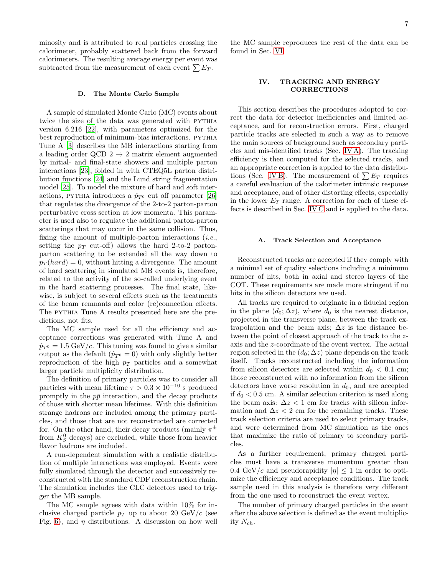minosity and is attributed to real particles crossing the calorimeter, probably scattered back from the forward calorimeters. The resulting average energy per event was subtracted from the measurement of each event  $\sum E_T$ .

#### D. The Monte Carlo Sample

A sample of simulated Monte Carlo (MC) events about twice the size of the data was generated with PYTHIA version 6.216 [\[22\]](#page-22-16), with parameters optimized for the best reproduction of minimum-bias interactions. PYTHIA Tune A [\[3\]](#page-21-2) describes the MB interactions starting from a leading order QCD  $2 \rightarrow 2$  matrix element augmented by initial- and final-state showers and multiple parton interactions [\[23](#page-22-17)], folded in with CTEQ5L parton distribution functions [\[24](#page-22-18)] and the Lund string fragmentation model [\[25\]](#page-22-19). To model the mixture of hard and soft interactions, PYTHIA introduces a  $\hat{p}_{T^0}$  cut off parameter [\[26](#page-22-20)] that regulates the divergence of the 2-to-2 parton-parton perturbative cross section at low momenta. This parameter is used also to regulate the additional parton-parton scatterings that may occur in the same collision. Thus, fixing the amount of multiple-parton interactions  $(i.e.,$ setting the  $p_T$  cut-off) allows the hard 2-to-2 partonparton scattering to be extended all the way down to  $p_T(hard) = 0$ , without hitting a divergence. The amount of hard scattering in simulated MB events is, therefore, related to the activity of the so-called underlying event in the hard scattering processes. The final state, likewise, is subject to several effects such as the treatments of the beam remnants and color (re)connection effects. The pythia Tune A results presented here are the predictions, not fits.

The MC sample used for all the efficiency and acceptance corrections was generated with Tune A and  $\hat{p}_{T^0} = 1.5 \,\text{GeV}/c$ . This tuning was found to give a similar output as the default  $(\hat{p}_{T^0} = 0)$  with only slightly better reproduction of the high  $p_T$  particles and a somewhat larger particle multiplicity distribution.

The definition of primary particles was to consider all particles with mean lifetime  $\tau > 0.3 \times 10^{-10}$  s produced promptly in the  $p\bar{p}$  interaction, and the decay products of those with shorter mean lifetimes. With this definition strange hadrons are included among the primary particles, and those that are not reconstructed are corrected for. On the other hand, their decay products (mainly  $\pi^{\pm}$ from  $K_S^0$  decays) are excluded, while those from heavier flavor hadrons are included.

A run-dependent simulation with a realistic distribution of multiple interactions was employed. Events were fully simulated through the detector and successively reconstructed with the standard CDF reconstruction chain. The simulation includes the CLC detectors used to trigger the MB sample.

The MC sample agrees with data within 10% for inclusive charged particle  $p_T$  up to about 20 GeV/c (see Fig. [6\)](#page-15-0), and  $\eta$  distributions. A discussion on how well the MC sample reproduces the rest of the data can be found in Sec. [VI.](#page-13-0)

#### <span id="page-8-0"></span>IV. TRACKING AND ENERGY CORRECTIONS

This section describes the procedures adopted to correct the data for detector inefficiencies and limited acceptance, and for reconstruction errors. First, charged particle tracks are selected in such a way as to remove the main sources of background such as secondary particles and mis-identified tracks (Sec. [IV A\)](#page-8-1). The tracking efficiency is then computed for the selected tracks, and an appropriate correction is applied to the data distribu-tions (Sec. [IV B\)](#page-9-0). The measurement of  $\sum E_T$  requires a careful evaluation of the calorimeter intrinsic response and acceptance, and of other distorting effects, especially in the lower  $E_T$  range. A correction for each of these effects is described in Sec. [IV C](#page-9-1) and is applied to the data.

#### <span id="page-8-1"></span>A. Track Selection and Acceptance

Reconstructed tracks are accepted if they comply with a minimal set of quality selections including a minimum number of hits, both in axial and stereo layers of the COT. These requirements are made more stringent if no hits in the silicon detectors are used.

All tracks are required to originate in a fiducial region in the plane  $(d_0; \Delta z)$ , where  $d_0$  is the nearest distance, projected in the transverse plane, between the track extrapolation and the beam axis;  $\Delta z$  is the distance between the point of closest approach of the track to the zaxis and the z-coordinate of the event vertex. The actual region selected in the  $(d_0; \Delta z)$  plane depends on the track itself. Tracks reconstructed including the information from silicon detectors are selected within  $d_0 < 0.1$  cm; those reconstructed with no information from the silicon detectors have worse resolution in  $d_0$ , and are accepted if  $d_0 < 0.5$  cm. A similar selection criterion is used along the beam axis:  $\Delta z < 1$  cm for tracks with silicon information and  $\Delta z < 2$  cm for the remaining tracks. These track selection criteria are used to select primary tracks, and were determined from MC simulation as the ones that maximize the ratio of primary to secondary particles.

As a further requirement, primary charged particles must have a transverse momentum greater than 0.4 GeV/c and pseudorapidity  $|\eta| \leq 1$  in order to optimize the efficiency and acceptance conditions. The track sample used in this analysis is therefore very different from the one used to reconstruct the event vertex.

The number of primary charged particles in the event after the above selection is defined as the event multiplicity  $N_{ch}$ .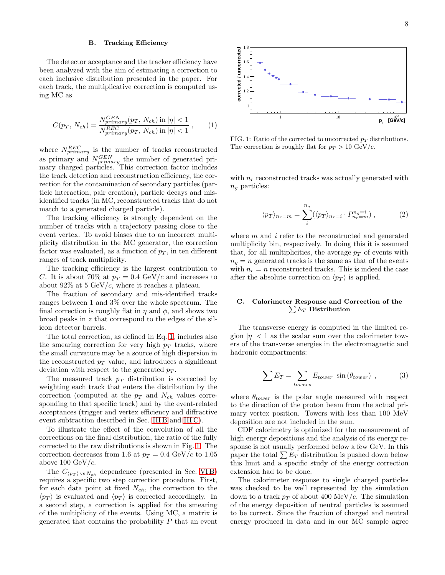#### <span id="page-9-0"></span>B. Tracking Efficiency

The detector acceptance and the tracker efficiency have been analyzed with the aim of estimating a correction to each inclusive distribution presented in the paper. For each track, the multiplicative correction is computed using MC as

<span id="page-9-2"></span>
$$
C(p_T, N_{ch}) = \frac{N_{primary}^{GEN}(p_T, N_{ch}) \text{ in } |\eta| < 1}{N_{primary}^{REC}(p_T, N_{ch}) \text{ in } |\eta| < 1}, \qquad (1)
$$

where  $N_{primary}^{REC}$  is the number of tracks reconstructed as primary and  $N_{primary}^{GEN}$  the number of generated primary charged particles. This correction factor includes the track detection and reconstruction efficiency, the correction for the contamination of secondary particles (particle interaction, pair creation), particle decays and misidentified tracks (in MC, reconstructed tracks that do not match to a generated charged particle).

The tracking efficiency is strongly dependent on the number of tracks with a trajectory passing close to the event vertex. To avoid biases due to an incorrect multiplicity distribution in the MC generator, the correction factor was evaluated, as a function of  $p<sub>T</sub>$ , in ten different ranges of track multiplicity.

The tracking efficiency is the largest contribution to C. It is about 70% at  $p_T = 0.4 \text{ GeV}/c$  and increases to about  $92\%$  at 5 GeV/c, where it reaches a plateau.

The fraction of secondary and mis-identified tracks ranges between 1 and 3% over the whole spectrum. The final correction is roughly flat in  $\eta$  and  $\phi$ , and shows two broad peaks in z that correspond to the edges of the silicon detector barrels.

The total correction, as defined in Eq. [1,](#page-9-2) includes also the smearing correction for very high  $p_T$  tracks, where the small curvature may be a source of high dispersion in the reconstructed  $p_T$  value, and introduces a significant deviation with respect to the generated  $p_T$ .

The measured track  $p_T$  distribution is corrected by weighting each track that enters the distribution by the correction (computed at the  $p_T$  and  $N_{ch}$  values corresponding to that specific track) and by the event-related acceptances (trigger and vertex efficiency and diffractive event subtraction described in Sec. [III B](#page-7-0) and [III C\)](#page-7-1).

To illustrate the effect of the convolution of all the corrections on the final distribution, the ratio of the fully corrected to the raw distributions is shown in Fig. [1.](#page-9-3) The correction decreases from 1.6 at  $p_T = 0.4 \text{ GeV}/c$  to 1.05 above 100  $GeV/c$ .

The  $C_{\langle p_T \rangle \text{ vs } N_{ch}}$  dependence (presented in Sec. VIB) requires a specific two step correction procedure. First, for each data point at fixed  $N_{ch}$ , the correction to the  $\langle p_T \rangle$  is evaluated and  $\langle p_T \rangle$  is corrected accordingly. In a second step, a correction is applied for the smearing of the multiplicity of the events. Using MC, a matrix is generated that contains the probability  $P$  that an event



<span id="page-9-3"></span>FIG. 1: Ratio of the corrected to uncorrected  $p_T$  distributions. The correction is roughly flat for  $p_T > 10 \text{ GeV}/c$ .

with  $n_r$  reconstructed tracks was actually generated with  $n_q$  particles:

$$
\langle p_T \rangle_{n_r=m} = \sum_{i}^{n_g} (\langle p_T \rangle_{n_r=i} \cdot P_{n_r=m}^{n_g=i}) , \qquad (2)
$$

where  $m$  and  $i$  refer to the reconstructed and generated multiplicity bin, respectively. In doing this it is assumed that, for all multiplicities, the average  $p<sub>T</sub>$  of events with  $n_q = n$  generated tracks is the same as that of the events with  $n_r = n$  reconstructed tracks. This is indeed the case after the absolute correction on  $\langle p_T \rangle$  is applied.

#### <span id="page-9-1"></span>C. Calorimeter Response and Correction of the  $\sum E_T$  Distribution

The transverse energy is computed in the limited region  $|\eta|$  < 1 as the scalar sum over the calorimeter towers of the transverse energies in the electromagnetic and hadronic compartments:

$$
\sum E_T = \sum_{towers} E_{tower} \sin(\theta_{tower}) \tag{3}
$$

where  $\theta_{lower}$  is the polar angle measured with respect to the direction of the proton beam from the actual primary vertex position. Towers with less than 100 MeV deposition are not included in the sum.

CDF calorimetry is optimized for the measurement of high energy depositions and the analysis of its energy response is not usually performed below a few GeV. In this paper the total  $\sum E_T$  distribution is pushed down below this limit and a specific study of the energy correction extension had to be done.

The calorimeter response to single charged particles was checked to be well represented by the simulation down to a track  $p_T$  of about 400 MeV/c. The simulation of the energy deposition of neutral particles is assumed to be correct. Since the fraction of charged and neutral energy produced in data and in our MC sample agree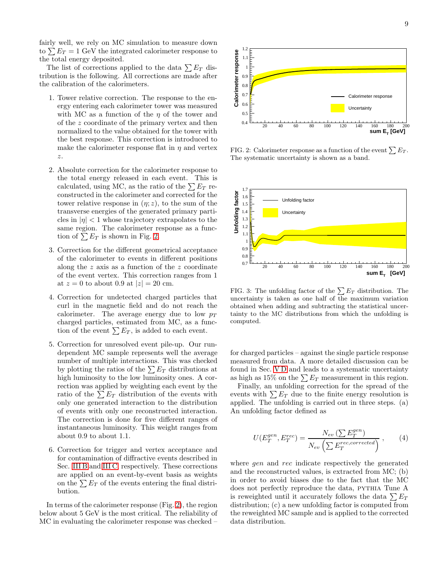fairly well, we rely on MC simulation to measure down to  $\sum E_T = 1$  GeV the integrated calorimeter response to the total energy deposited.

The list of corrections applied to the data  $\sum E_T$  distribution is the following. All corrections are made after the calibration of the calorimeters.

- 1. Tower relative correction. The response to the energy entering each calorimeter tower was measured with MC as a function of the  $\eta$  of the tower and of the z coordinate of the primary vertex and then normalized to the value obtained for the tower with the best response. This correction is introduced to make the calorimeter response flat in  $\eta$  and vertex z.
- 2. Absolute correction for the calorimeter response to the total energy released in each event. This is calculated, using MC, as the ratio of the  $\sum E_T$  reconstructed in the calorimeter and corrected for the tower relative response in  $(\eta; z)$ , to the sum of the transverse energies of the generated primary particles in  $|\eta|$  < 1 whose trajectory extrapolates to the same region. The calorimeter response as a function of  $\sum E_T$  is shown in Fig. [2.](#page-10-0)
- 3. Correction for the different geometrical acceptance of the calorimeter to events in different positions along the  $z$  axis as a function of the  $z$  coordinate of the event vertex. This correction ranges from 1 at  $z = 0$  to about 0.9 at  $|z| = 20$  cm.
- 4. Correction for undetected charged particles that curl in the magnetic field and do not reach the calorimeter. The average energy due to low  $p_T$ charged particles, estimated from MC, as a function of the event  $\sum E_T$ , is added to each event.
- 5. Correction for unresolved event pile-up. Our rundependent MC sample represents well the average number of multiple interactions. This was checked by plotting the ratios of the  $\sum E_T$  distributions at high luminosity to the low luminosity ones. A correction was applied by weighting each event by the ratio of the  $\sum E_T$  distribution of the events with only one generated interaction to the distribution of events with only one reconstructed interaction. The correction is done for five different ranges of instantaneous luminosity. This weight ranges from about 0.9 to about 1.1.
- 6. Correction for trigger and vertex acceptance and for contamination of diffractive events described in Sec. [III B](#page-7-0) and [III C,](#page-7-1) respectively. These corrections are applied on an event-by-event basis as weights on the  $\sum E_T$  of the events entering the final distribution.

In terms of the calorimeter response (Fig. [2\)](#page-10-0), the region below about 5 GeV is the most critical. The reliability of MC in evaluating the calorimeter response was checked –



<span id="page-10-0"></span>FIG. 2: Calorimeter response as a function of the event  $\sum E_T$ . The systematic uncertainty is shown as a band.



<span id="page-10-1"></span>FIG. 3: The unfolding factor of the  $\sum E_T$  distribution. The uncertainty is taken as one half of the maximum variation obtained when adding and subtracting the statistical uncertainty to the MC distributions from which the unfolding is computed.

for charged particles – against the single particle response measured from data. A more detailed discussion can be found in Sec. [V D](#page-11-1) and leads to a systematic uncertainty as high as 15% on the  $\sum E_T$  measurement in this region.

Finally, an unfolding correction for the spread of the events with  $\sum E_T$  due to the finite energy resolution is applied. The unfolding is carried out in three steps. (a) An unfolding factor defined as

$$
U(E_T^{gen}, E_T^{rec}) = \frac{N_{ev} \left(\sum E_T^{gen}\right)}{N_{ev} \left(\sum E_T^{rec,corrected}\right)},\qquad(4)
$$

where *gen* and *rec* indicate respectively the generated and the reconstructed values, is extracted from MC; (b) in order to avoid biases due to the fact that the MC does not perfectly reproduce the data, PYTHIA Tune A is reweighted until it accurately follows the data  $\sum E_T$ distribution; (c) a new unfolding factor is computed from the reweighted MC sample and is applied to the corrected data distribution.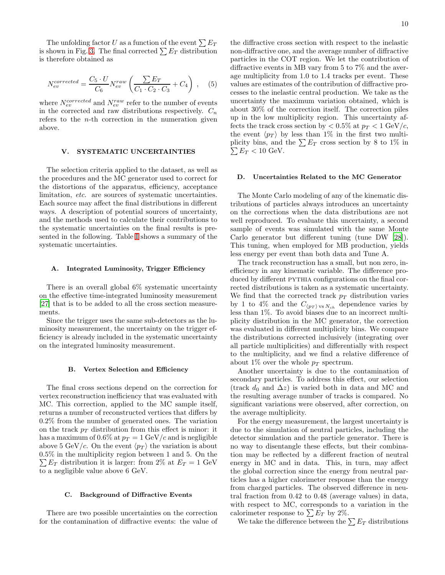The unfolding factor U as a function of the event  $\sum E_T$ is shown in Fig. [3.](#page-10-1) The final corrected  $\sum E_T$  distribution is therefore obtained as

$$
N_{ev}^{corrected} = \frac{C_5 \cdot U}{C_6} N_{ev}^{raw} \left( \frac{\sum E_T}{C_1 \cdot C_2 \cdot C_3} + C_4 \right) , \quad (5)
$$

where  $N_{ev}^{corrected}$  and  $N_{ev}^{raw}$  refer to the number of events in the corrected and raw distributions respectively.  $C_n$ refers to the  $n$ -th correction in the numeration given above.

#### <span id="page-11-0"></span>V. SYSTEMATIC UNCERTAINTIES

The selection criteria applied to the dataset, as well as the procedures and the MC generator used to correct for the distortions of the apparatus, efficiency, acceptance limitation, etc. are sources of systematic uncertainties. Each source may affect the final distributions in different ways. A description of potential sources of uncertainty, and the methods used to calculate their contributions to the systematic uncertainties on the final results is presented in the following. Table [I](#page-12-0) shows a summary of the systematic uncertainties.

#### A. Integrated Luminosity, Trigger Efficiency

There is an overall global 6% systematic uncertainty on the effective time-integrated luminosity measurement [\[27\]](#page-22-21) that is to be added to all the cross section measurements.

Since the trigger uses the same sub-detectors as the luminosity measurement, the uncertainty on the trigger efficiency is already included in the systematic uncertainty on the integrated luminosity measurement.

#### B. Vertex Selection and Efficiency

The final cross sections depend on the correction for vertex reconstruction inefficiency that was evaluated with MC. This correction, applied to the MC sample itself, returns a number of reconstructed vertices that differs by 0.2% from the number of generated ones. The variation on the track  $p_T$  distribution from this effect is minor: it has a maximum of 0.6% at  $p_T = 1 \text{ GeV}/c$  and is negligible above 5 GeV/c. On the event  $\langle p_T \rangle$  the variation is about  $0.5\%$  in the multiplicity region between 1 and 5. On the 0.5% in the multiplicity region between 1 and 5. On the  $\sum E_T$  distribution it is larger: from 2% at  $E_T = 1$  GeV to a negligible value above 6 GeV.

#### C. Background of Diffractive Events

There are two possible uncertainties on the correction for the contamination of diffractive events: the value of

the diffractive cross section with respect to the inelastic non-diffractive one, and the average number of diffractive particles in the COT region. We let the contribution of diffractive events in MB vary from 5 to 7% and the average multiplicity from 1.0 to 1.4 tracks per event. These values are estimates of the contribution of diffractive processes to the inelastic central production. We take as the uncertainty the maximum variation obtained, which is about 30% of the correction itself. The correction piles up in the low multiplicity region. This uncertainty affects the track cross section by  $< 0.5\%$  at  $p_T < 1$  GeV/c, the event  $\langle p_T \rangle$  by less than 1% in the first two multiplicity bins, and the  $\sum E_T$  cross section by 8 to 1% in  $\sum E_T < 10$  GeV.

### <span id="page-11-1"></span>D. Uncertainties Related to the MC Generator

The Monte Carlo modeling of any of the kinematic distributions of particles always introduces an uncertainty on the corrections when the data distributions are not well reproduced. To evaluate this uncertainty, a second sample of events was simulated with the same Monte Carlo generator but different tuning (tune DW [\[28\]](#page-22-22)). This tuning, when employed for MB production, yields less energy per event than both data and Tune A.

The track reconstruction has a small, but non zero, inefficiency in any kinematic variable. The difference produced by different PYTHIA configurations on the final corrected distributions is taken as a systematic uncertainty. We find that the corrected track  $p_T$  distribution varies by 1 to 4% and the  $C_{\langle p_T \rangle \text{ vs } N_{ch}}$  dependence varies by less than 1%. To avoid biases due to an incorrect multiplicity distribution in the MC generator, the correction was evaluated in different multiplicity bins. We compare the distributions corrected inclusively (integrating over all particle multiplicities) and differentially with respect to the multiplicity, and we find a relative difference of about 1% over the whole  $p_T$  spectrum.

Another uncertainty is due to the contamination of secondary particles. To address this effect, our selection (track  $d_0$  and  $\Delta z$ ) is varied both in data and MC and the resulting average number of tracks is compared. No significant variations were observed, after correction, on the average multiplicity.

For the energy measurement, the largest uncertainty is due to the simulation of neutral particles, including the detector simulation and the particle generator. There is no way to disentangle these effects, but their combination may be reflected by a different fraction of neutral energy in MC and in data. This, in turn, may affect the global correction since the energy from neutral particles has a higher calorimeter response than the energy from charged particles. The observed difference in neutral fraction from 0.42 to 0.48 (average values) in data, with respect to MC, corresponds to a variation in the calorimeter response to  $\sum E_T$  by 2%.

We take the difference between the  $\sum E_T$  distributions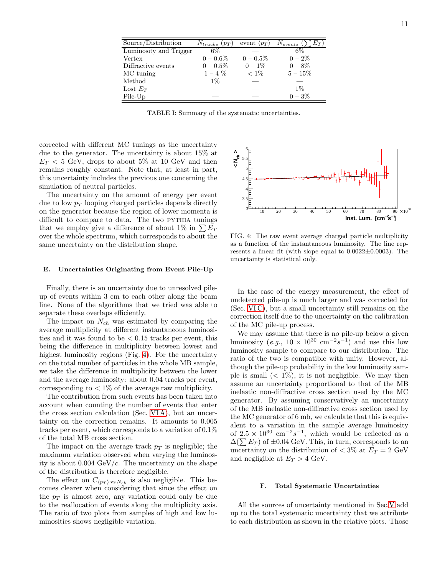| Source/Distribution    | $N_{tracks}$ $(p_T)$ | event $\langle p_T \rangle$ | $N_{events}$<br>$E_T)$ |
|------------------------|----------------------|-----------------------------|------------------------|
| Luminosity and Trigger | 6%                   |                             | 6%                     |
| Vertex                 | $0 - 0.6\%$          | $0 - 0.5\%$                 | $0 - 2\%$              |
| Diffractive events     | $0 - 0.5\%$          | $0 - 1\%$                   | $0 - 8\%$              |
| MC tuning              | $1 - 4\%$            | $< 1\%$                     | $5 - 15\%$             |
| Method                 | $1\%$                |                             |                        |
| Lost $E_T$             |                      |                             | $1\%$                  |
| Pile-Up                |                      |                             | $0 - 3\%$              |

<span id="page-12-0"></span>TABLE I: Summary of the systematic uncertainties.

corrected with different MC tunings as the uncertainty due to the generator. The uncertainty is about 15% at  $E_T < 5$  GeV, drops to about 5% at 10 GeV and then remains roughly constant. Note that, at least in part, this uncertainty includes the previous one concerning the simulation of neutral particles.

The uncertainty on the amount of energy per event due to low  $p_T$  looping charged particles depends directly on the generator because the region of lower momenta is difficult to compare to data. The two PYTHIA tunings that we employ give a difference of about 1% in  $\sum E_T$ over the whole spectrum, which corresponds to about the same uncertainty on the distribution shape.

#### E. Uncertainties Originating from Event Pile-Up

Finally, there is an uncertainty due to unresolved pileup of events within 3 cm to each other along the beam line. None of the algorithms that we tried was able to separate these overlaps efficiently.

The impact on  $N_{ch}$  was estimated by comparing the average multiplicity at different instantaneous luminosities and it was found to be  $\lt$  0.15 tracks per event, this being the difference in multiplicity between lowest and highest luminosity regions (Fig. [4\)](#page-12-1). For the uncertainty on the total number of particles in the whole MB sample, we take the difference in multiplicity between the lower and the average luminosity: about 0.04 tracks per event, corresponding to  $\langle 1\%$  of the average raw multiplicity.

The contribution from such events has been taken into account when counting the number of events that enter the cross section calculation (Sec. [VI A\)](#page-13-1), but an uncertainty on the correction remains. It amounts to 0.005 tracks per event, which corresponds to a variation of 0.1% of the total MB cross section.

The impact on the average track  $p_T$  is negligible; the maximum variation observed when varying the luminosity is about  $0.004 \text{ GeV}/c$ . The uncertainty on the shape of the distribution is therefore negligible.

The effect on  $C_{\langle p_T \rangle \text{ vs } N_{ch}}$  is also negligible. This becomes clearer when considering that since the effect on the  $p_T$  is almost zero, any variation could only be due to the reallocation of events along the multiplicity axis. The ratio of two plots from samples of high and low luminosities shows negligible variation.



<span id="page-12-1"></span>FIG. 4: The raw event average charged particle multiplicity as a function of the instantaneous luminosity. The line represents a linear fit (with slope equal to  $0.0022\pm0.0003$ ). The uncertainty is statistical only.

In the case of the energy measurement, the effect of undetected pile-up is much larger and was corrected for (Sec. [VI C\)](#page-17-0), but a small uncertainty still remains on the correction itself due to the uncertainty on the calibration of the MC pile-up process.

We may assume that there is no pile-up below a given luminosity  $(e.g., 10 \times 10^{30} \text{ cm}^{-2} s^{-1})$  and use this low luminosity sample to compare to our distribution. The ratio of the two is compatible with unity. However, although the pile-up probability in the low luminosity sample is small  $(< 1\%)$ , it is not negligible. We may then assume an uncertainty proportional to that of the MB inelastic non-diffractive cross section used by the MC generator. By assuming conservatively an uncertainty of the MB inelastic non-diffractive cross section used by the MC generator of 6 mb, we calculate that this is equivalent to a variation in the sample average luminosity of  $2.5 \times 10^{30}$  cm<sup>-2</sup>s<sup>-1</sup>, which would be reflected as a  $\Delta(\sum E_T)$  of ±0.04 GeV. This, in turn, corresponds to an uncertainty on the distribution of  $< 3\%$  at  $E_T = 2$  GeV and negligible at  $E_T > 4$  GeV.

#### F. Total Systematic Uncertainties

All the sources of uncertainty mentioned in Sec[.V](#page-11-0) add up to the total systematic uncertainty that we attribute to each distribution as shown in the relative plots. Those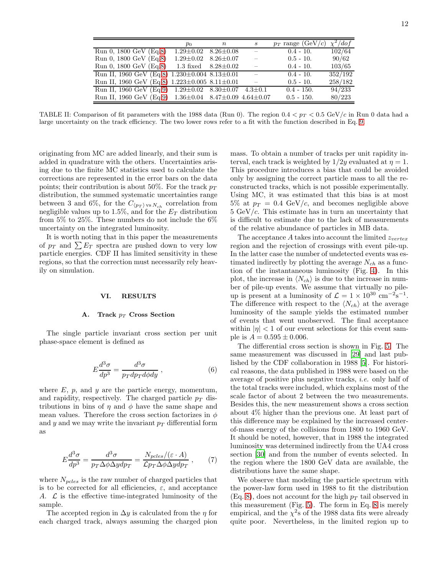|                                                                       | $p_0$                           | $\,n$ | $\boldsymbol{s}$         | $p_T$ range (GeV/c) | $\chi^2/dof$ |
|-----------------------------------------------------------------------|---------------------------------|-------|--------------------------|---------------------|--------------|
| Run 0, 1800 GeV (Eq.8)                                                | $1.29 \pm 0.02$ 8.26 $\pm 0.08$ |       | $\sim$                   | $0.4 - 10.$         | 102/64       |
| Run 0, 1800 GeV (Eq.8)                                                | $1.29 \pm 0.02$ $8.26 \pm 0.07$ |       | $\overline{\phantom{m}}$ | $0.5 - 10.$         | 90/62        |
| Run 0, 1800 GeV (Eq.8)                                                | 1.3 fixed $8.28 \pm 0.02$       |       |                          | $0.4 - 10.$         | 103/65       |
| Run II, 1960 GeV (Eq.8) $1.230 \pm 0.004$ $8.13 \pm 0.01$             |                                 |       | $\sim$                   | $0.4 - 10.$         | 352/192      |
| Run II, 1960 GeV (Eq.8) 1.223±0.005 8.11±0.01                         |                                 |       |                          | $0.5 - 10.$         | 258/182      |
| Run II, 1960 GeV (Eq.9) $1.29 \pm 0.02$ $8.30 \pm 0.07$ $4.3 \pm 0.1$ |                                 |       |                          | $0.4 - 150.$        | 94/233       |
| Run II, 1960 GeV (Eq.9) 1.36±0.04 8.47±0.09 4.64±0.07                 |                                 |       |                          | $0.5 - 150.$        | 80/223       |

<span id="page-13-2"></span>TABLE II: Comparison of fit parameters with the 1988 data (Run 0). The region  $0.4 < p_T < 0.5$  GeV/c in Run 0 data had a large uncertainty on the track efficiency. The two lower rows refer to a fit with the function described in Eq. [9.](#page-14-2)

originating from MC are added linearly, and their sum is added in quadrature with the others. Uncertainties arising due to the finite MC statistics used to calculate the corrections are represented in the error bars on the data points; their contribution is about 50%. For the track  $p_T$ distribution, the summed systematic uncertainties range between 3 and 6%, for the  $C_{\langle p_T \rangle \text{ vs } N_{ch}}$  correlation from negligible values up to 1.5%, and for the  $E_T$  distribution from 5% to 25%. These numbers do not include the 6% uncertainty on the integrated luminosity.

It is worth noting that in this paper the measurements of  $p_T$  and  $\sum E_T$  spectra are pushed down to very low particle energies. CDF II has limited sensitivity in these regions, so that the correction must necessarily rely heavily on simulation.

#### <span id="page-13-0"></span>VI. RESULTS

#### <span id="page-13-1"></span>A. Track  $p_T$  Cross Section

The single particle invariant cross section per unit phase-space element is defined as

$$
E\frac{d^3\sigma}{dp^3} = \frac{d^3\sigma}{p_T dp_T d\phi dy} , \qquad (6)
$$

where  $E$ ,  $p$ , and  $y$  are the particle energy, momentum, and rapidity, respectively. The charged particle  $p_T$  distributions in bins of  $\eta$  and  $\phi$  have the same shape and mean values. Therefore the cross section factorizes in  $\phi$ and y and we may write the invariant  $p_T$  differential form as

$$
E\frac{d^3\sigma}{dp^3} = \frac{d^3\sigma}{p_T\Delta\phi\Delta ydp_T} = \frac{N_{pcles}/(\varepsilon \cdot A)}{\mathcal{L}p_T\Delta\phi\Delta ydp_T} ,\qquad(7)
$$

where  $N_{pcles}$  is the raw number of charged particles that is to be corrected for all efficiencies,  $\varepsilon$ , and acceptance A.  $\mathcal L$  is the effective time-integrated luminosity of the sample.

The accepted region in  $\Delta y$  is calculated from the  $\eta$  for each charged track, always assuming the charged pion

mass. To obtain a number of tracks per unit rapidity interval, each track is weighted by  $1/2y$  evaluated at  $\eta = 1$ . This procedure introduces a bias that could be avoided only by assigning the correct particle mass to all the reconstructed tracks, which is not possible experimentally. Using MC, it was estimated that this bias is at most 5% at  $p_T = 0.4$  GeV/c, and becomes negligible above  $5 \text{ GeV}/c$ . This estimate has in turn an uncertainty that is difficult to estimate due to the lack of measurements of the relative abundance of particles in MB data.

The acceptance A takes into account the limited  $z_{vertex}$ region and the rejection of crossings with event pile-up. In the latter case the number of undetected events was estimated indirectly by plotting the average  $N_{ch}$  as a function of the instantaneous luminosity (Fig. [4\)](#page-12-1). In this plot, the increase in  $\langle N_{ch} \rangle$  is due to the increase in number of pile-up events. We assume that virtually no pileup is present at a luminosity of  $\mathcal{L} = 1 \times 10^{30}$  cm<sup>-2</sup>s<sup>-1</sup>. The difference with respect to the  $\langle N_{ch} \rangle$  at the average luminosity of the sample yields the estimated number of events that went unobserved. The final acceptance within  $|\eta|$  < 1 of our event selections for this event sample is  $A = 0.595 \pm 0.006$ .

The differential cross section is shown in Fig. [5.](#page-14-3) The same measurement was discussed in [\[29\]](#page-22-23) and last published by the CDF collaboration in 1988 [\[5](#page-21-4)]. For historical reasons, the data published in 1988 were based on the average of positive plus negative tracks, i.e. only half of the total tracks were included, which explains most of the scale factor of about 2 between the two measurements. Besides this, the new measurement shows a cross section about 4% higher than the previous one. At least part of this difference may be explained by the increased centerof-mass energy of the collisions from 1800 to 1960 GeV. It should be noted, however, that in 1988 the integrated luminosity was determined indirectly from the UA4 cross section [\[30\]](#page-22-24) and from the number of events selected. In the region where the 1800 GeV data are available, the distributions have the same shape.

We observe that modeling the particle spectrum with the power-law form used in 1988 to fit the distribution  $(Eq. 8)$  $(Eq. 8)$ , does not account for the high  $p_T$  tail observed in this measurement (Fig. [5\)](#page-14-3). The form in Eq. [8](#page-14-1) is merely empirical, and the  $\chi^2$ s of the 1988 data fits were already quite poor. Nevertheless, in the limited region up to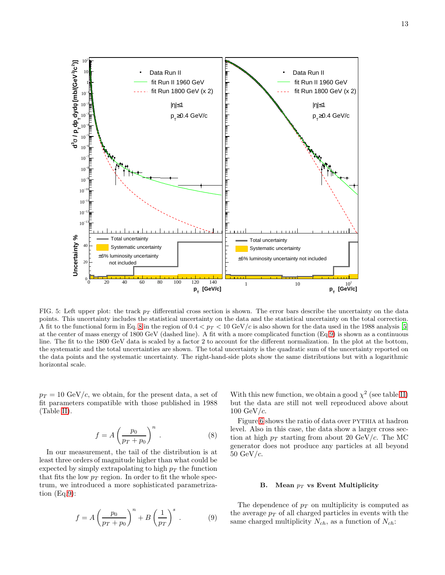

**Uncertainty %**  Uncertainty % otal uncertainty Total uncertainty 40 Systematic uncertainty Systematic uncertainty ±6% luminosity uncertainty ±6% luminosity uncertainty not included  $20$  not included  $\boldsymbol{^{0}0}$ 0 20 40 60 80 100 120 140 1 10  $p_T^2$  [GeV/c]  **[GeV/c] T p** FIG. 5: Left upper plot: the track  $p<sub>T</sub>$  differential cross section is shown. The error bars describe the uncertainty on the data points. This uncertainty includes the statistical uncertainty on the data and the statistical uncertainty on the total correction. A fit to the functional form in Eq. [8](#page-14-1) in the region of  $0.4 < p_T < 10 \text{ GeV}/c$  is also shown for the data used in the 1988 analysis [\[5](#page-21-4)] at the center of mass energy of 1800 GeV (dashed line). A fit with a more complicated function (Eq[.9\)](#page-14-2) is shown as a continuous line. The fit to the 1800 GeV data is scaled by a factor 2 to account for the different normalization. In the plot at the bottom,

<span id="page-14-3"></span>the systematic and the total uncertainties are shown. The total uncertainty is the quadratic sum of the uncertainty reported on the data points and the systematic uncertainty. The right-hand-side plots show the same distributions but with a logarithmic

 $p_T = 10 \text{ GeV}/c$ , we obtain, for the present data, a set of fit parameters compatible with those published in 1988 (Table [II\)](#page-13-2).

**)] 2 /c 2 [mb/(GeV** φ**dyd T dp T / p** σ**3 d**

 $10^{-6}$ 

 $10^{-1}$ −4 10 −3 10 −2 10 10<sup>-1</sup> 1 10 10

10<sup><sup>1</sup></sup>  $10^{-1}$  $10^{-1}$ −10 10 10<sup><sup>1</sup></sup> 10<sup><sup>1</sup></sup> −7 10

horizontal scale.

<span id="page-14-1"></span>
$$
f = A \left(\frac{p_0}{p_T + p_0}\right)^n.
$$
 (8)

In our measurement, the tail of the distribution is at least three orders of magnitude higher than what could be expected by simply extrapolating to high  $p_T$  the function that fits the low  $p_T$  region. In order to fit the whole spectrum, we introduced a more sophisticated parametrization (Eq[.9\)](#page-14-2):

<span id="page-14-2"></span>
$$
f = A \left(\frac{p_0}{p_T + p_0}\right)^n + B \left(\frac{1}{p_T}\right)^s. \tag{9}
$$

With this new function, we obtain a good  $\chi^2$  (see table [II\)](#page-13-2) but the data are still not well reproduced above about  $100 \text{ GeV}/c$ .

Figure [6](#page-15-0) shows the ratio of data over PYTHIA at hadron level. Also in this case, the data show a larger cross section at high  $p_T$  starting from about 20 GeV/c. The MC generator does not produce any particles at all beyond 50 GeV/c.

#### <span id="page-14-0"></span>B. Mean  $p_T$  vs Event Multiplicity

The dependence of  $p_T$  on multiplicity is computed as the average  $p_T$  of all charged particles in events with the same charged multiplicity  $N_{ch}$ , as a function of  $N_{ch}$ :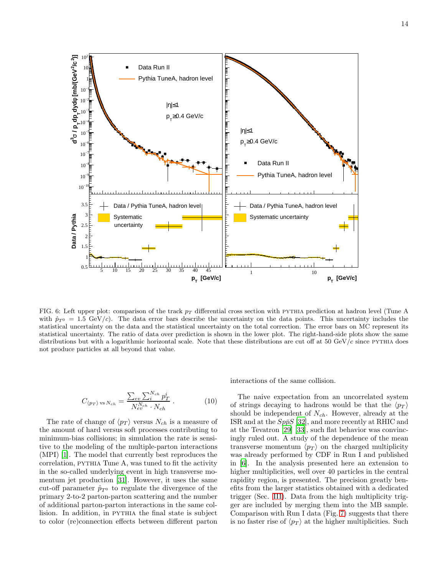

<span id="page-15-0"></span>FIG. 6: Left upper plot: comparison of the track  $p<sub>T</sub>$  differential cross section with PYTHIA prediction at hadron level (Tune A with  $\hat{p}_{T^0} = 1.5 \text{ GeV}/c$ . The data error bars describe the uncertainty on the data points. This uncertainty includes the statistical uncertainty on the data and the statistical uncertainty on the total correction. The error bars on MC represent its statistical uncertainty. The ratio of data over prediction is shown in the lower plot. The right-hand-side plots show the same distributions but with a logarithmic horizontal scale. Note that these distributions are cut off at  $50 \text{ GeV}/c$  since PYTHIA does not produce particles at all beyond that value.

$$
C_{\langle p_T \rangle \text{ vs } N_{ch}} = \frac{\sum_{ev} \sum_{i}^{N_{ch}} p_T^i}{N_{ev}^{N_{ch}} \cdot N_{ch}}.
$$
 (10)

The rate of change of  $\langle p_T \rangle$  versus  $N_{ch}$  is a measure of the amount of hard versus soft processes contributing to minimum-bias collisions; in simulation the rate is sensitive to the modeling of the multiple-parton interactions (MPI) [\[1\]](#page-21-0). The model that currently best reproduces the correlation, pythia Tune A, was tuned to fit the activity in the so-called underlying event in high transverse momentum jet production [\[31\]](#page-22-25). However, it uses the same cut-off parameter  $\hat{p}_{T^0}$  to regulate the divergence of the primary 2-to-2 parton-parton scattering and the number of additional parton-parton interactions in the same collision. In addition, in PYTHIA the final state is subject to color (re)connection effects between different parton interactions of the same collision.

The naive expectation from an uncorrelated system of strings decaying to hadrons would be that the  $\langle p_T \rangle$ should be independent of  $N_{ch}$ . However, already at the ISR and at the  $Sp\bar{p}S$  [\[32\]](#page-22-26), and more recently at RHIC and at the Tevatron [\[29](#page-22-23)] [\[33\]](#page-22-27), such flat behavior was convincingly ruled out. A study of the dependence of the mean transverse momentum  $\langle p_T \rangle$  on the charged multiplicity was already performed by CDF in Run I and published in [\[6\]](#page-22-0). In the analysis presented here an extension to higher multiplicities, well over 40 particles in the central rapidity region, is presented. The precision greatly benefits from the larger statistics obtained with a dedicated trigger (Sec. [III\)](#page-6-1). Data from the high multiplicity trigger are included by merging them into the MB sample. Comparison with Run I data (Fig. [7\)](#page-16-0) suggests that there is no faster rise of  $\langle p_T \rangle$  at the higher multiplicities. Such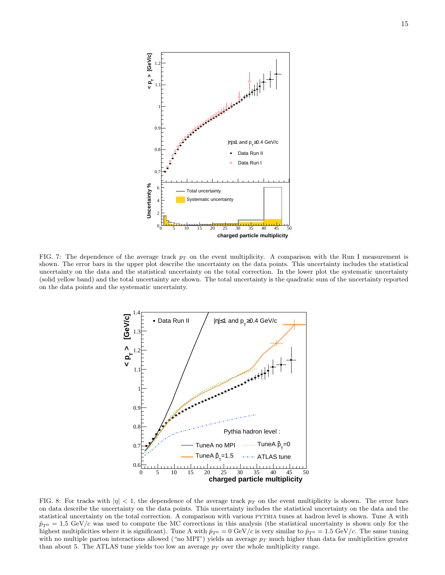

<span id="page-16-0"></span>FIG. 7: The dependence of the average track  $p<sub>T</sub>$  on the event multiplicity. A comparison with the Run I measurement is shown. The error bars in the upper plot describe the uncertainty on the data points. This uncertainty includes the statistical uncertainty on the data and the statistical uncertainty on the total correction. In the lower plot the systematic uncertainty (solid yellow band) and the total uncertainty are shown. The total uncertainty is the quadratic sum of the uncertainty reported on the data points and the systematic uncertainty.



<span id="page-16-1"></span>FIG. 8: For tracks with  $|\eta| < 1$ , the dependence of the average track  $p_T$  on the event multiplicity is shown. The error bars on data describe the uncertainty on the data points. This uncertainty includes the statistical uncertainty on the data and the statistical uncertainty on the total correction. A comparison with various pythia tunes at hadron level is shown. Tune A with  $\hat{p}_{T^0} = 1.5 \text{ GeV}/c$  was used to compute the MC corrections in this analysis (the statistical uncertainty is shown only for the highest multiplicities where it is significant). Tune A with  $\hat{p}_{T0} = 0$  GeV/c is very similar to  $\hat{p}_{T0} = 1.5$  GeV/c. The same tuning with no multiple parton interactions allowed ("no MPI") yields an average  $p_T$  much higher than data for multiplicities greater than about 5. The ATLAS tune yields too low an average  $p_T$  over the whole multiplicity range.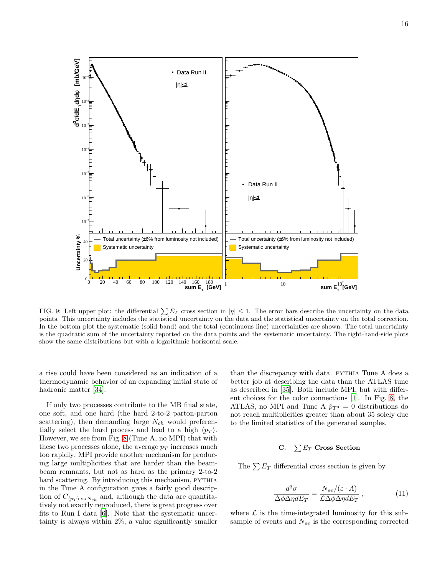

<span id="page-17-1"></span>FIG. 9: Left upper plot: the differential  $\sum E_T$  cross section in  $|\eta| \leq 1$ . The error bars describe the uncertainty on the data points. This uncertainty includes the statistical uncertainty on the data and the statistical uncertainty on the total correction. In the bottom plot the systematic (solid band) and the total (continuous line) uncertainties are shown. The total uncertainty is the quadratic sum of the uncertainty reported on the data points and the systematic uncertainty. The right-hand-side plots show the same distributions but with a logarithmic horizontal scale.

a rise could have been considered as an indication of a thermodynamic behavior of an expanding initial state of hadronic matter [\[34\]](#page-22-28).

If only two processes contribute to the MB final state, one soft, and one hard (the hard 2-to-2 parton-parton scattering), then demanding large  $N_{ch}$  would preferentially select the hard process and lead to a high  $\langle p_T \rangle$ . However, we see from Fig. [8](#page-16-1) (Tune A, no MPI) that with these two processes alone, the average  $p_T$  increases much too rapidly. MPI provide another mechanism for producing large multiplicities that are harder than the beambeam remnants, but not as hard as the primary 2-to-2 hard scattering. By introducing this mechanism, PYTHIA in the Tune A configuration gives a fairly good description of  $C_{\langle p_T \rangle \text{ vs } N_{ch}}$  and, although the data are quantitatively not exactly reproduced, there is great progress over fits to Run I data [\[6](#page-22-0)]. Note that the systematic uncertainty is always within 2%, a value significantly smaller

than the discrepancy with data. PYTHIA Tune A does a better job at describing the data than the ATLAS tune as described in [\[35\]](#page-22-29). Both include MPI, but with different choices for the color connections [\[1\]](#page-21-0). In Fig. [8,](#page-16-1) the ATLAS, no MPI and Tune A  $\hat{p}_{T^0} = 0$  distributions do not reach multiplicities greater than about 35 solely due to the limited statistics of the generated samples.

## <span id="page-17-0"></span>C.  $\sum E_T$  Cross Section

The  $\sum E_T$  differential cross section is given by

$$
\frac{d^3\sigma}{\Delta\phi\Delta\eta dE_T} = \frac{N_{ev}/(\varepsilon \cdot A)}{\mathcal{L}\Delta\phi\Delta\eta dE_T} , \qquad (11)
$$

where  $\mathcal L$  is the time-integrated luminosity for this subsample of events and  $N_{ev}$  is the corresponding corrected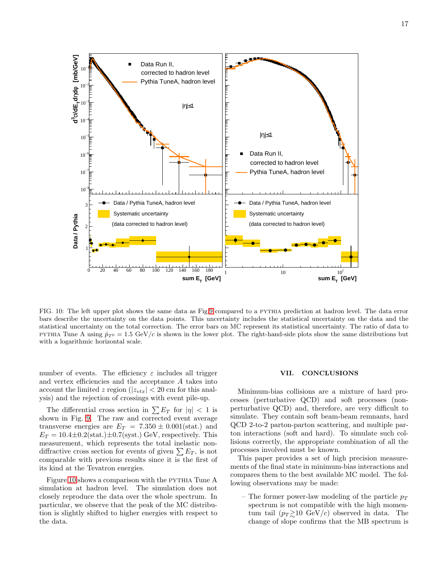

<span id="page-18-0"></span>FIG. 10: The left upper plot shows the same data as Fig[.9](#page-17-1) compared to a pythia prediction at hadron level. The data error bars describe the uncertainty on the data points. This uncertainty includes the statistical uncertainty on the data and the statistical uncertainty on the total correction. The error bars on MC represent its statistical uncertainty. The ratio of data to PYTHIA Tune A using  $\hat{p}_{T^0} = 1.5 \text{ GeV}/c$  is shown in the lower plot. The right-hand-side plots show the same distributions but with a logarithmic horizontal scale.

number of events. The efficiency  $\varepsilon$  includes all trigger and vertex efficiencies and the acceptance A takes into account the limited z region ( $|z_{vtx}| < 20$  cm for this analysis) and the rejection of crossings with event pile-up.

The differential cross section in  $\sum E_T$  for  $|\eta| < 1$  is shown in Fig. [9.](#page-17-1) The raw and corrected event average transverse energies are  $E_T = 7.350 \pm 0.001$ (stat.) and  $E_T = 10.4 \pm 0.2 \text{(stat.)} \pm 0.7 \text{(syst.)} \text{ GeV},$  respectively. This measurement, which represents the total inelastic nondiffractive cross section for events of given  $\sum E_T$ , is not comparable with previous results since it is the first of its kind at the Tevatron energies.

Figure [10](#page-18-0) shows a comparison with the PYTHIA Tune A simulation at hadron level. The simulation does not closely reproduce the data over the whole spectrum. In particular, we observe that the peak of the MC distribution is slightly shifted to higher energies with respect to the data.

#### VII. CONCLUSIONS

Minimum-bias collisions are a mixture of hard processes (perturbative QCD) and soft processes (nonperturbative QCD) and, therefore, are very difficult to simulate. They contain soft beam-beam remnants, hard QCD 2-to-2 parton-parton scattering, and multiple parton interactions (soft and hard). To simulate such collisions correctly, the appropriate combination of all the processes involved must be known.

This paper provides a set of high precision measurements of the final state in minimum-bias interactions and compares them to the best available MC model. The following observations may be made:

– The former power-law modeling of the particle  $p_T$ spectrum is not compatible with the high momentum tail  $(p_T \gtrsim 10 \text{ GeV}/c)$  observed in data. The change of slope confirms that the MB spectrum is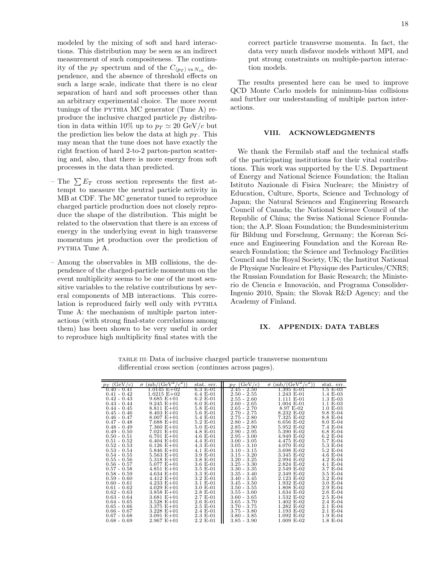modeled by the mixing of soft and hard interactions. This distribution may be seen as an indirect measurement of such compositeness. The continuity of the  $p_T$  spectrum and of the  $C_{\langle p_T \rangle \text{ vs } N_{ch}}$  dependence, and the absence of threshold effects on such a large scale, indicate that there is no clear separation of hard and soft processes other than an arbitrary experimental choice. The more recent tunings of the pythia MC generator (Tune A) reproduce the inclusive charged particle  $p_T$  distribution in data within 10% up to  $p_T \simeq 20 \text{ GeV}/c$  but the prediction lies below the data at high  $p<sub>T</sub>$ . This may mean that the tune does not have exactly the right fraction of hard 2-to-2 parton-parton scattering and, also, that there is more energy from soft processes in the data than predicted.

- The  $\sum E_T$  cross section represents the first attempt to measure the neutral particle activity in MB at CDF. The MC generator tuned to reproduce charged particle production does not closely reproduce the shape of the distribution. This might be related to the observation that there is an excess of energy in the underlying event in high transverse momentum jet production over the prediction of pythia Tune A.
- Among the observables in MB collisions, the dependence of the charged-particle momentum on the event multiplicity seems to be one of the most sensitive variables to the relative contributions by several components of MB interactions. This correlation is reproduced fairly well only with PYTHIA Tune A: the mechanism of multiple parton interactions (with strong final-state correlations among them) has been shown to be very useful in order to reproduce high multiplicity final states with the

correct particle transverse momenta. In fact, the data very much disfavor models without MPI, and put strong constraints on multiple-parton interaction models.

The results presented here can be used to improve QCD Monte Carlo models for minimum-bias collisions and further our understanding of multiple parton interactions.

#### VIII. ACKNOWLEDGMENTS

We thank the Fermilab staff and the technical staffs of the participating institutions for their vital contributions. This work was supported by the U.S. Department of Energy and National Science Foundation; the Italian Istituto Nazionale di Fisica Nucleare; the Ministry of Education, Culture, Sports, Science and Technology of Japan; the Natural Sciences and Engineering Research Council of Canada; the National Science Council of the Republic of China; the Swiss National Science Foundation; the A.P. Sloan Foundation; the Bundesministerium für Bildung und Forschung, Germany; the Korean Science and Engineering Foundation and the Korean Research Foundation; the Science and Technology Facilities Council and the Royal Society, UK; the Institut National de Physique Nucleaire et Physique des Particules/CNRS; the Russian Foundation for Basic Research; the Ministerio de Ciencia e Innovación, and Programa Consolider-Ingenio 2010, Spain; the Slovak R&D Agency; and the Academy of Finland.

#### IX. APPENDIX: DATA TABLES

| $p_T$ (GeV/c) | $(mb/(GeV^2/c^2))$<br>$\sigma$ | stat. err. | $(\rm{GeV}/c)$<br>$p_T$ | $(mb/(GeV^2/c^2))$<br>$\sigma$ | stat. err.            |
|---------------|--------------------------------|------------|-------------------------|--------------------------------|-----------------------|
| $0.40 - 0.41$ | 1.0145 E+02                    | 6.3 E-01   | $2.45 - 2.50$           | 1.395 E-01                     | 1.5 E-03              |
| $0.41 - 0.42$ | $1.0215 E+02$                  | 6.4 E-01   | $2.50 - 2.55$           | 1.243 E-01                     | $1.4 \text{ E} - 03$  |
| $0.42 - 0.43$ | $9.685 E + 01$                 | $6.2 E-01$ | $2.55 - 2.60$           | 1.111 E-01                     | $1.3 \text{ E} - 0.3$ |
| $0.43 - 0.44$ | $9.245 E + 01$                 | $6.0 E-01$ | $2.60 - 2.65$           | $1.004$ E-01                   | $1.1 \text{ E} - 03$  |
| $0.44 - 0.45$ | $8.811 E + 01$                 | 5.8 E-01   | $2.65 - 2.70$           | 8.97 E-02                      | $1.0 E-03$            |
| $0.45 - 0.46$ | $8.403 E + 01$                 | 5.6 E-01   | $2.70 - 2.75$           | 8.232 E-02                     | 9.8 E-04              |
| $0.46 - 0.47$ | $8.007 E + 01$                 | 5.4 E-01   | $2.75 - 2.80$           | 7.325 E-02                     | 8.8 E-04              |
| $0.47 - 0.48$ | $7.688 E + 01$                 | 5.2 E-01   | $2.80 - 2.85$           | 6.656 E-02                     | 8.0 E-04              |
| $0.48 - 0.49$ | $7.360 E + 01$                 | 5.0 E-01   | $2.85 - 2.90$           | 5.952 E-02                     | 7.4 E-04              |
| $0.49 - 0.50$ | $7.021 E + 01$                 | 4.8 E-01   | $2.90 - 2.95$           | 5.390 E-02                     | $6.8 E-04$            |
| $0.50 - 0.51$ | $6.701 E + 01$                 | 4.6 E-01   | $2.95 - 3.00$           | 4.949 E-02                     | 6.2 E-04              |
| $0.51 - 0.52$ | $6.404 E + 01$                 | 4.4 E-01   | $3.00 - 3.05$           | 4.475 E-02                     | 5.7 E-04              |
| $0.52 - 0.53$ | $6.126 E + 01$                 | 4.3 E-01   | $3.05 - 3.10$           | 4.070 E-02                     | 5.3 E-04              |
| $0.53 - 0.54$ | $5.846 E + 01$                 | 4.1 E-01   | $3.10 - 3.15$           | 3.698 E-02                     | 5.2 E-04              |
| $0.54 - 0.55$ | $5.563 E + 01$                 | 3.9 E-01   | $3.15 - 3.20$           | 3.345 E-02                     | 4.6 E-04              |
| $0.55 - 0.56$ | $5.318 E + 01$                 | 3.8 E-01   | $3.20 - 3.25$           | 2.994 E-02                     | 4.2 E-04              |
| $0.56 - 0.57$ | $5.077 E + 01$                 | 3.6 E-01   | $3.25 - 3.30$           | 2.824 E-02                     | 4.1 E-04              |
| $0.57 - 0.58$ | $4.851 E + 01$                 | 3.5 E-01   | $3.30 - 3.35$           | 2.549 E-02                     | 3.7 E-04              |
| $0.58 - 0.59$ | $4.634 E + 01$                 | 3.3 E-01   | $3.35 - 3.40$           | 2.349 E-02                     | 3.5 E-04              |
| $0.59 - 0.60$ | $4.412 E + 01$                 | 3.2 E-01   | $3.40 - 3.45$           | 2.123 E-02                     | 3.2 E-04              |
| $0.60 - 0.61$ | $4.233 E + 01$                 | 3.1 E-01   | $3.45 - 3.50$           | 1.932 E-02                     | 3.0 E-04              |
| $0.61 - 0.62$ | $4.029 E + 01$                 | 3.0 E-01   | $3.50 - 3.55$           | 1.808 E-02                     | 2.9 E-04              |
| $0.62 - 0.63$ | $3.858 E + 01$                 | 2.8 E-01   | $3.55 - 3.60$           | 1.634 E-02                     | $2.6 E-04$            |
| $0.63 - 0.64$ | $3.681 E + 01$                 | 2.7 E-01   | $3.60 - 3.65$           | 1.532 E-02                     | 2.5 E-04              |
| $0.64 - 0.65$ | $3.528 E + 01$                 | $2.6 E-01$ | $3.65 - 3.70$           | 1.402 E-02                     | 2.4 E-04              |
| $0.65 - 0.66$ | $3.375 E + 01$                 | $2.5 E-01$ | $3.70 - 3.75$           | 1.282 E-02                     | 2.1 E-04              |
| $0.66 - 0.67$ | $3.228 E + 01$                 | 2.4 E-01   | $3.75 - 3.80$           | 1.193 E-02                     | 2.1 E-04              |
| $0.67 - 0.68$ | $3.091 E + 01$                 | 2.3 E-01   | $3.80 - 3.85$           | 1.092 E-02                     | $1.9 E-04$            |
| $0.68 - 0.69$ | $2.967 E + 01$                 | 2.2 E-01   | $3.85 - 3.90$           | 1.009 E-02                     | $1.8 E-04$            |

TABLE III: Data of inclusive charged particle transverse momentum differential cross section (continues across pages).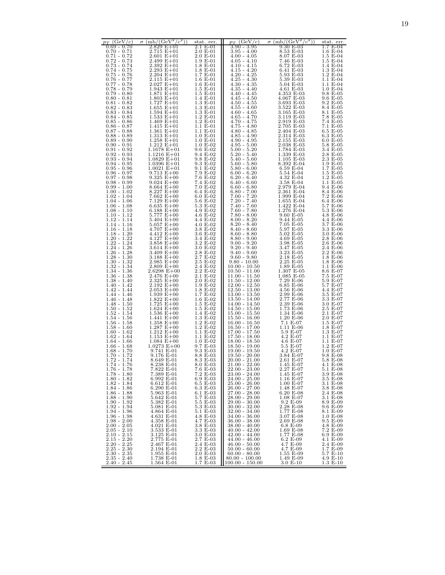| $p_T$ (GeV/c)                                                                                      | $\sigma \, (\text{mb}/(\text{GeV}^2/c^2))$ | stat. err.                                                            | $p_T$ (GeV/c)                                                                                    | $\sigma$ (mb/(GeV <sup>2</sup> )<br>$(c^2)$ | stat. err.                            |
|----------------------------------------------------------------------------------------------------|--------------------------------------------|-----------------------------------------------------------------------|--------------------------------------------------------------------------------------------------|---------------------------------------------|---------------------------------------|
| $0.69 - 0.70$<br>$0.70 - 0.71$                                                                     | 2.829 E+01<br>2.715 E+01                   | $2.1 E-01$<br>2.0 E-01                                                | $3.90 - 3.95$<br>$3.95 - 4.00$                                                                   | 9.30 E-03<br>8.53 E-03                      | 1.7 E-04<br>$1.6 E-04$                |
| $0.71 - 0.72$                                                                                      | $2.601 E + 01$                             | $2.0 E-01$                                                            | $4.00 - 4.05$                                                                                    | 8.07 E-03                                   | 1.5 E-04                              |
| $0.72 - 0.73$                                                                                      | 2.499 E+01                                 | 1.9 E-01                                                              | $4.05 - 4.10$                                                                                    | 7.46 E-03                                   | 1.5 E-04                              |
|                                                                                                    | $2.392 E + 01$<br>$2.293 E + 01$           | 1.8 E-01                                                              | $\begin{array}{c} 4.10 - 4.15 \\ 4.15 - 4.20 \end{array}$                                        | 6.72 E-03<br>6.41 E-03                      | 1.4 E-04<br>$1.3 \bar{E} - 04$        |
| $\begin{array}{c} 0.73-0.74 \\ 0.73-0.75 \\ 0.75-0.75 \\ 0.76-0.77 \end{array}$                    | $2.204 E + 01$                             | $\begin{array}{c} 1.8 \to -01 \\ 1.7 \to -01 \end{array}$             | $4.20 - 4.25$                                                                                    | 5.93 E-03                                   | $1.2 E-04$                            |
| 0.77 - 0.78                                                                                        | $2.115 E + 01$<br>$2.027 E + 01$           | $1.6$ E-01<br>$1.6$ E-01                                              | $4.25 - 4.30$<br>$4.30 - 4.35$                                                                   | 5.39 E-03<br>$5.04 \text{ E} - 03$          | 1.1 E-04<br>1.1 E-04                  |
| $0.78 - 0.79$                                                                                      | $1.943 E + 01$                             | 1.5 E-01                                                              | $4.35 - 4.40$                                                                                    | 4.61 E-03                                   | $1.0 E-04$                            |
| $0.79 - 0.80$                                                                                      | $1.871 E + 01$                             | 1.5 E-01                                                              | $4.40 - 4.45$                                                                                    | 4.353 E-03                                  | 9.8 E-05                              |
| $0.80 - 0.81$<br>$0.81 - 0.82$                                                                     | $1.803 E + 01$<br>$1.727 E + 01$           | 1.4 E-01<br>1.3 E-01                                                  | $4.45 - 4.50$<br>$4.50 - 4.55$                                                                   | 4.067 E-03<br>3.693 E-03                    | 9.6 E-05<br>9.2 E-05                  |
| $0.82 - 0.83$                                                                                      | $1.655 E + 01$                             | 1.3 E-01                                                              | $4.55 - 4.60$                                                                                    | 3.522 E-03                                  | 8.4 E-05                              |
| $0.83 - 0.84$<br>0.84 - 0.85                                                                       | $1.594 E + 01$<br>$1.533 E+01$             | 1.3 E-01<br>$1.2 E-01$                                                | $4.60 - 4.65$<br>$4.65 - 4.70$                                                                   | 3.165 E-03<br>3.119 E-03                    | 8.1 E-05<br>7.8 E-05                  |
| $0.85 - 0.86$                                                                                      | $1.469 E + 01$                             | $1.2 E-01$                                                            | $4.70 - 4.75$                                                                                    | 2.919 E-03                                  | 7.4 E-05                              |
| $0.86 - 0.87$                                                                                      | $1.415 E + 01$<br>$1.361 E + 01$           | 1.1 E-01<br>1.1 E-01                                                  | $4.75 - 4.80$                                                                                    | 2.705 E-03<br>2.404 E-03                    | 7.1 E-05<br>6.5 E-05                  |
| $\begin{array}{c} 0.87 - 0.88 \\ 0.88 - 0.89 \end{array}$                                          | $1.313 E + 01$                             | $1.0 E-01$                                                            | $4.80$ - $4.85\,$ - $4.90$                                                                       | 2.314 E-03                                  | 6.3 E-05                              |
| $0.89 - 0.90$                                                                                      | $1.258 E + 01$                             | $1.0 E-01$                                                            | $4.90 - 4.95$                                                                                    | 2.155 E-03                                  | $6.0 E-0.5$                           |
| $0.90 - 0.91$<br>$0.91 - 0.92$                                                                     | $1.212 E + 01$<br>$1.1678 E + 01$          | 1.0 E-02<br>9.6 E-02                                                  | $4.95 - 5.00$<br>$5.00 - 5.20$                                                                   | 2.038 E-03<br>1.784 E-03                    | 5.8 E-05<br>3.4 E-05                  |
| $0.92 - 0.93$                                                                                      | $1.1216 E + 01$                            | 9.4 E-02                                                              | $5.20 - 5.40$                                                                                    | 1.339 E-03                                  | 2.8 E-05                              |
| $0.93 - 0.94$<br>$0.94 - 0.95$                                                                     | $1.0829 E + 01$<br>$1.0396 E + 01$         | 9.8 E-02<br>9.3 E-02                                                  | $5.40 - 5.60$<br>$5.60 - 5.80$                                                                   | 1.105 E-03<br>8.392 E-04                    | 2.3 E-05<br>1.9 E-05                  |
| $0.95 - 0.96$                                                                                      | $1.0021 E + 01$                            | 9.1 E-02                                                              | $5.80 - 6.00$                                                                                    | 6.59 E-04                                   | 1.7 E-05                              |
| $0.96 - 0.97$<br>0.97 - 0.98                                                                       | $9.713 E + 00$<br>$9.325 E + 00$           | 7.9 E-02<br>7.6 E-02                                                  | $6.00 - 6.20$<br>$6.20 - 6.40$                                                                   | 5.54 E-04<br>4.32 E-04                      | 1.5 E-05<br>1.2 E-05                  |
| $0.98 - 0.99$                                                                                      | $9.024 E + 00$                             | 7.4 E-02                                                              | $6.40 - 6.60$                                                                                    | 3.58 E-04                                   | 1.1 E-05                              |
| $0.99 - 1.00$                                                                                      | $8.664 E + 00$                             | 7.0 E-02                                                              | $6.60 - 6.80$                                                                                    | 2.979 E-04                                  | 9.4 E-06                              |
| $1.00 - 1.02$<br>$1.02 - 1.04$                                                                     | $8.227 E + 00$<br>$7.662 E + 00$           | 6.4 E-02<br>$6.0 E-02$                                                | $6.80 - 7.00$                                                                                    | 2.361 E-04<br>1.999 E-04                    | 8.4 E-06<br>7.2 E-06                  |
| $1.04 - 1.06$                                                                                      | 7.129 E+00                                 | 5.6 E-02                                                              | $7.00 - 7.20$<br>$7.20 - 7.40$                                                                   | 1.655 E-04                                  | 6.4 E-06                              |
| $1.06 - 1.08$<br>$1.08 - 1.10$                                                                     | $6.635 E + 00$<br>6.188 $E+00$             | 5.3 E-02<br>4.9 E-02                                                  | 7.40 - 7.60<br>7.60 - 7.80                                                                       | 1.422 E-04<br>1.276 E-04                    | 5.7 E-06<br>5.3 E-06                  |
| $1.10 - 1.12$                                                                                      | $5.777 E + 00$                             | 4.6 E-02                                                              | $7.80 - 8.00$                                                                                    | $9.60 E-05$                                 | $4.8 \text{ E} - 06$                  |
| $1.12 - 1.14$                                                                                      | $5.404 E + 00$<br>$5.057 E + 00$           | 4.4 E-02<br>4.0 E-02                                                  | $8.00 - 8.20$                                                                                    | 9.44 E-05<br>7.05 E-05                      | 4.4 E-06<br>3.7 E-06                  |
| $1.14 - 1.16$<br>$1.16 - 1.18$                                                                     | $4.707 E + 00$                             | 3.8 E-02                                                              | $8.20 - 8.40$<br>$8.40 - 8.60$                                                                   | 5.97 E-05                                   | 3.3 E-06                              |
| $1.18 - 1.20$                                                                                      | $4.412 E + 00$<br>$4.127 E + 00$           | 3.6 E-02                                                              | $8.60 - 8.80$                                                                                    | 5.02 E-05                                   | 3.0 E-06                              |
| $1.20 - 1.22$<br>$1.22 - 1.24$                                                                     | 3.858 $E+00$                               | 3.4 E-02<br>3.2 E-02                                                  | $8.80 - 9.00$<br>$9.00 - 9.20$                                                                   | 4.69 E-05<br>3.98 E-05                      | 2.8 E-06<br>2.6 E-06                  |
| 1.24 - 1.26                                                                                        | 3.614 $E+00$                               | 3.0 E-02                                                              | $9.20 - 9.40$                                                                                    | 3.47 E-05                                   | 2.4 E-06                              |
| $1.26 - 1.28$<br>$1.28 - 1.30$<br>$1.30 - 1.32$<br>$1.32 - 1.34$                                   | 3.409 $E+00$<br>$3.188 E + 00$             | 2.8 E-02<br>2.7 E-02                                                  | $9.40 - 9.60$                                                                                    | 3.23 E-05<br>2.18 E-05                      | 2.2 E-06<br>1.8 E-06                  |
|                                                                                                    | $2.985 E + 00$                             | 2.5 E-02                                                              | $9.60 - 9.80$<br>$9.80 - 10.00$                                                                  | 2.25 E-05                                   | 1.8 E-06                              |
| $1.34 - 1.36$                                                                                      | $2.809 E + 00$<br>$2.6298 E + 00$          | $2.4\,$ E-02<br>2.2 E-02                                              | $10.00 - 10.50$<br>10.50 - 11.00                                                                 | 1.89 E-05<br>1.307 E-05                     | 1.1 E-06<br>8.6 E-07                  |
| $1.36 - 1.38$                                                                                      | $2.476 E + 00$                             | 2.1 E-02                                                              | 11.00 - 11.50                                                                                    | $1.085$ E-05                                | 7.5 E-07                              |
| 1.38 - 1.40<br>$1.40 - 1.42$                                                                       | $2.325 E+00$<br>$2.192 E + 00$             | $2.0 E-02$<br>1.9 E-02                                                | 11.50 - 12.00<br>$12.00 - 12.50$                                                                 | 7.29 E-06<br>$6.85$ E-06                    | 5.9 E-07<br>5.7 E-07                  |
|                                                                                                    | $2.053 E + 00$                             | 1.8 E-02                                                              |                                                                                                  | 4.56 E-06                                   | 4.4 E-07                              |
| $1.42 - 1.44$<br>$1.44 - 1.46$                                                                     | $1.939 E + 00$                             | 1.7 E-02                                                              | 12.50 - 13.00<br>13.00 - 13.50                                                                   | 2.99 E-06                                   | 3.5 E-07<br>3.3 E-07                  |
| $1.46 - 1.48$<br>$1.48 - 1.50$                                                                     | $1.822 E + 00$<br>$1.725 E+00$             | $1.6 E-02$<br>1.5 E-02                                                | 13.50 - 14.00<br>14.00 - 14.50                                                                   | 2.77 E-06<br>2.39 E-06                      | 3.0 E-07                              |
| $1.50 - 1.52$                                                                                      | $1.624 E+00$                               | 1.5 E-02                                                              | 14.50 - 15.00                                                                                    | 1.73 E-06                                   | 2.5 E-07                              |
| $1.52 - 1.54$                                                                                      | $1.536 E + 00$<br>$1.441 E + 00$           | 1.4 E-02<br>1.3 E-02                                                  | $15.00 - 15.50$<br>$15.50 - 16.00$                                                               | 1.34 E-06<br>1.20 E-06                      | 2.1 E-07<br>2.0 E-07                  |
| $1.54 - 1.56$<br>$1.56 - 1.58$<br>$1.58 - 1.60$                                                    | $1.358 E + 00$                             | 1.2 E-02                                                              | $\frac{16.00 - 16.50}{16.50 - 17.00}$                                                            | 7.1 E-07                                    | $1.5 E-07$                            |
| $1.60 - 1.62$                                                                                      | $1.287 E + 00$<br>$1.212 E + 00$           | 1.2 E-02<br>1.1 E-02                                                  | $17.00 - 17.50$                                                                                  | 1.11 E-06<br>5.9 E-07                       | 1.8 E-07<br>1.3 E-07                  |
| $1.62 - 1.64$                                                                                      | $1.153 E + 00$                             | 1.1 E-02                                                              | $17.50 - 18.00$                                                                                  | $4.2 E-07$                                  | 1.1 E-07                              |
| $1.64 - 1.66$<br>$1.66 - 1.68$                                                                     | $1.084 E + 00$<br>$1.0273 E + 00$          | $1.0 E-02$<br>9.7 E-03                                                | $18.00 - 18.50$<br>18.50 - 19.00                                                                 | 4.6 E-07<br>5.5 E-07                        | 1.1 E-07<br>$1.2 E-07$                |
| $1.68 - 1.70$                                                                                      | 9.741 E-01                                 | 9.3 E-03                                                              | $19.00 - 19.50$                                                                                  | 4.2 E-07                                    | $1.0 E-07$                            |
| $1.70 - 1.72$<br>$1.72 - 1.74$                                                                     | 9.176 E-01                                 | 8.8 E-03                                                              | $19.50 - 20.00$<br>20.00 - 21.00                                                                 | 3.84 E-07                                   | 9.8 E-08<br>5.8 E-08                  |
| $1.74 - 1.76$                                                                                      | 8.649 E-01<br>8.238 E-UI                   | 8.3 E-03<br>8.0 E-03                                                  | 21.00 - 22.00                                                                                    | 2.61 E-07<br>1.45 E-U7                      | 4.1 E-08                              |
| 1.76 - 1.78                                                                                        | 7.822 E-01                                 | 7.6 E-03                                                              | $22.00 - 23.00$                                                                                  | 2.27 E-07                                   | 5.1 E-08                              |
| $1.78 - 1.80$<br>$1.80 - 1.82$                                                                     | 7.389 E-01<br>6.992 E-01                   | 7.2 E-03                                                              | $23.00 - 24.00$                                                                                  | 1.45 E-07<br>1.16 E-07                      | 3.9 E-08<br>3.5 E-08                  |
| $1.80 - 1.82$<br>$1.82 - 1.84$<br>$1.84 - 1.86$<br>$1.86 - 1.88$<br>$1.88 - 1.90$<br>$1.90 - 1.92$ | 6.612 E-01                                 | $\begin{array}{c} 6.9 \ E\text{-}03 \\ 6.5 \ E\text{-}03 \end{array}$ | $\begin{array}{c} 24.00\text{ - } 25.00 \\ 25.00\text{ - } 26.00 \end{array}$                    | 1.00 E-07                                   | 3.1 E-08                              |
|                                                                                                    | 6.290 E-01<br>5.963 E-01                   | $6.3\,$ E-03                                                          | $26.00 - 27.00$<br>$27.00 - 28.00$<br>$28.00 - 29.00$                                            | 1.48 E-07<br>6.20 E-08                      | 3.8 E-08<br>2.4 E-08                  |
|                                                                                                    | 5.642 E-01                                 | 6.1 E-03<br>5.7 E-03                                                  |                                                                                                  | 1.08 E-07                                   | 3.1 E-08                              |
| $1.92 - 1.94$                                                                                      | 5.382 E-01<br>5.081 E-01                   | 5.5 E-03<br>$5.3\,$ E-03                                              | $29.00 - 30.00$<br>$30.00 - 32.00$                                                               | 9.2 E-09<br>2.28 E-08                       | 8.9 E-09<br>9.6 E-09                  |
| $1.94 - 1.96$                                                                                      | 4.864 E-01                                 | 5.1 E-03                                                              | $32.00 - 34.00$                                                                                  | 1.77 E-08                                   | 8.1 E-09                              |
|                                                                                                    | 4.631 E-01<br>4.358 E-01                   | $4.8 \t E-03$<br>$4.7 \t E-03$<br>$3.8 \t E-03$<br>$3.3 \t E-03$      | $\begin{array}{c} 34.00 - 36.00 \\ 36.00 - 38.00 \\ 38.00 - 40.00 \end{array}$                   | 3.07 E-08<br>$2.69 E-08$                    | 1.0 E-08                              |
|                                                                                                    | 4.021 E-01                                 |                                                                       |                                                                                                  | 6.8 E-09                                    | $\frac{9.5}{4.8}$ E-09                |
| $1.96 - 1.98$ $1.98 - 2.00$ $2.00 - 2.05$ $2.05 - 2.10$ $2.15 - 2.30$                              | 3.533 E-01                                 | 3.0 E-03                                                              | $40.00 - 42.00$                                                                                  | 1.69 E-08<br>1.77 E-08                      | 7.2 E-09                              |
| $2.15 - 2.20$                                                                                      | 3.125 E-01<br>2.775 E-01                   | 2.7 E-03                                                              | $42.00 - 44.00$<br>$44.00 - 46.00$                                                               | 6.2 E-09                                    | 6.9 E-09<br>4.1 E-09                  |
|                                                                                                    | 2.467 E-01                                 | 2.4 E-03                                                              | $46.00 - 50.00$                                                                                  | 4.7 E-09                                    | 2.4 E-09                              |
|                                                                                                    | 2.194 E-01<br>$1.955$ E-01 $\,$            | $2.2 \tE-03$<br>$2.0 \tE-03$                                          |                                                                                                  | 4.7 E-09<br>1.55 E-09<br>1.49 E-09          | $1.7 \t E-09$<br>5.7 E-10<br>4.9 E-10 |
| $2.20 - 2.25$<br>$2.25 - 2.30$<br>$2.30 - 2.35$<br>$2.35 - 2.40$<br>$2.40 - 2.45$                  | 1.738 E-01                                 | $1.8 E - 0.3$<br>$1.7 E - 0.3$                                        | $\begin{array}{c}\n 50.00 - 60.00 \\  60.00 - 80.00 \\  80.00 - 100.00 \\  100.00\n \end{array}$ |                                             |                                       |
|                                                                                                    | 1.564 E-01                                 |                                                                       | $100.00 - 150.00$                                                                                | $3.0 E-10$                                  | 1.3 E-10                              |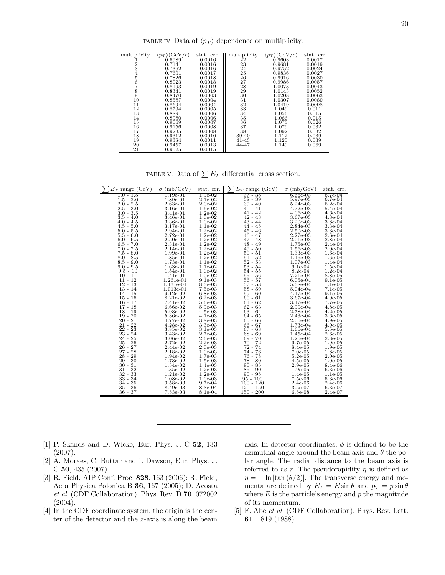TABLE IV: Data of  $\langle p_T \rangle$  dependence on multiplicity.

| multiplicity  | (GeV<br>$\mathfrak{c}$<br>$\cdot p_T$ | stat. err. | multiplicity | (GeV)<br>$\epsilon$ )<br>$\langle p_T \rangle$ | stat. err. |
|---------------|---------------------------------------|------------|--------------|------------------------------------------------|------------|
|               | 0.6989                                | 0.0016     | 22           | 0.9603                                         | 0.0017     |
| 2             | 0.7141                                | 0.0016     | 23           | 0.9681                                         | 0.0019     |
| 3             | 0.7362                                | 0.0016     | 24           | 0.9752                                         | 0.0024     |
|               | 0.7601                                | 0.0017     | 25           | 0.9836                                         | 0.0027     |
| $\frac{4}{5}$ | 0.7826                                | 0.0018     | 26           | 0.9916                                         | 0.0030     |
| 6             | 0.8023                                | 0.0018     | 27           | 0.9986                                         | 0.0057     |
|               | 0.8193                                | 0.0019     | 28           | 1.0073                                         | 0.0043     |
| 8             | 0.8341                                | 0.0019     | 29           | 1.0143                                         | 0.0052     |
| 9             | 0.8470                                | 0.0003     | 30           | 1.0208                                         | 0.0063     |
| 10            | 0.8587                                | 0.0004     | 31           | 1.0307                                         | 0.0080     |
| 11            | 0.8694                                | 0.0004     | 32           | 1.0419                                         | 0.0098     |
| 12            | 0.8794                                | 0.0005     | 33           | 1.049                                          | 0.011      |
| 13            | 0.8891                                | 0.0006     | 34           | 1.056                                          | 0.015      |
| 14            | 0.8980                                | 0.0006     | 35           | 1.066                                          | 0.015      |
| 15            | 0.9069                                | 0.0007     | 36           | 1.073                                          | 0.026      |
| 16            | 0.9156                                | 0.0008     | 37           | 1.079                                          | 0.032      |
| 17            | 0.9235                                | 0.0008     | 38           | 1.092                                          | 0.032      |
| 18            | 0.9312                                | 0.0010     | 39-40        | 1.112                                          | 0.039      |
| 19            | 0.9384                                | 0.0011     | 41-43        | 1.125                                          | 0.039      |
| 20            | 0.9457                                | 0.0013     | 44-47        | 1.149                                          | 0.069      |
| 21            | 0.9525                                | 0.0015     |              |                                                |            |

TABLE V: Data of  $\sum E_T$  differential cross section.

| $E_T$ range (GeV)         | $\sigma$ (mb/GeV)        | stat. err.             | $E_T$ range (GeV)      | $\sigma$ (mb/GeV)        | stat. err.              |
|---------------------------|--------------------------|------------------------|------------------------|--------------------------|-------------------------|
| $1.0$ - $1.5$             | 1.19e-01                 | $1.9e-02$              | 37 - 38                | 6.66e-03                 | $6.7e-04$               |
| $1.5 - 2.0$               | 1.89e-01                 | $2.1e-02$              | 38 - 39                | 5.97e-03                 | $6.7e-04$               |
| $2.0 - 2.5$               | $2.63e-01$               | $2.0e-02$              | $39 - 40$              | 5.24e-03                 | $6.2e-04$               |
| $2.5 - 3.0$               | 3.16e-01                 | $1.6e-02$              | $40 - 41$              | 4.72e-03                 | 5.4e-04                 |
| $3.0 - 3.5$               | 3.41e-01                 | $1.2e-02$              | 41 - 42                | $4.06e-03$               | $4.6e-04$               |
| $3.5 - 4.0$               | 3.46e-01                 | $1.0e-02$              | $42 - 43$              | 3.67e-03                 | $4.8e-04$               |
| $4.0 - 4.5$               | 3.36e-01                 | $1.0e-02$              | $43 - 44$              | $3.20e-03$               | $3.8e-04$               |
| $4.5 - 5.0$               | 3.17e-01                 | $1.1e-02$              | $44 - 45$              | 2.84e-03                 | $3.3e-04$               |
| $5.0 - 5.5$               | 2.94e-01                 | $1.2e-02$              | 45 - 46                | 2.50e-03                 | $3.3e-04$               |
| $5.5 - 6.0$               | $2.72e-01$               | $1.2e-02$              | $46 - 47$              | 2.27e-03                 | $2.6e-04$               |
| $6.0 - 6.5$               | $2.50e-01$               | $1.2e-02$              | $47 - 48$              | $2.01e-03$               | $2.8e-04$               |
| $6.5 - 7.0$               | 2.31e-01                 | $1.2e-02$              | $48 - 49$              | 1.75e-03                 | $2.4e-04$               |
| $7.0 - 7.5$               | $2.14e-01$               | $1.2e-02$              | $49 - 50$              | $1.56e-03$               | $2.0e-04$               |
| $7.5 - 8.0$               | 1.99e-01                 | $1.2e-02$              | $50 - 51$              | $1.33e-03$               | $1.6e-04$               |
| $8.0 - 8.5$               | 1.85e-01                 | $1.2e-02$              | $51 - 52$              | 1.16e-03                 | $1.6e-04$               |
| $8.5 - 9.0$               | 1.73e-01                 | $1.1e-02$              | $52 - 53$              | 1.07e-03                 | $1.4e-04$               |
| $9.0 - 9.5$<br>$9.5 - 10$ | $1.63e-01$<br>1.54e-01   | $1.1e-02$              | $53 - 54$<br>$54 - 55$ | $9.1e-04$                | $1.5e-04$<br>$1.2e-04$  |
| $10 - 11$                 | 1.41e-01                 | $1.0e-02$<br>$1.0e-02$ | 55 - 56                | $8.2e-04$<br>7.21e-04    | $8.8e-0.5$              |
|                           |                          |                        |                        |                          |                         |
| $11 - 12$<br>$12 - 13$    | 1.261e-01<br>1.131e-01   | $9.1e-03$<br>8.3e-03   | 56 - 57<br>$57 - 58$   | $6.05e-04$<br>5.38e-04   | $9.1e-0.5$<br>$1.1e-04$ |
| $13 - 14$                 | 1.013e-01                | $7.5e-03$              | $58 - 59$              | 5.04e-04                 | $7.1e-0.5$              |
| $14 - 15$                 | $9.12e-02$               | $6.8e-03$              | $59 - 60$              | 4.17e-04                 | $9.1e-0.5$              |
| $15 - 16$                 | 8.21e-02                 | $6.2e-03$              | $60 - 61$              | 3.67e-04                 | $4.9e-0.5$              |
| 16 - 17                   | 7.41e-02                 | 5.6e-03                | 61 - 62                | 3.17e-04                 | 7.7e-05                 |
| $17 - 18$                 | 6.66e-02                 | $5.9e-03$              | $62 - 63$              | 2.90e-04                 | $4.8e-05$               |
| 18 - 19                   | 5.93e-02                 | $4.5e-03$              | $63 - 64$              | 2.78e-04                 | $4.2e-05$               |
| $19 - 20$                 | 5.36e-02                 | $4.1e-03$              | $64 - 65$              | 2.43e-04                 | $3.6e-0.5$              |
| $20 - 21$                 | 4.77e-02                 | $3.8e-03$              | $65 - 66$              | $2.06e-04$               | $4.9e-0.5$              |
| $21 - 22$                 | 4.28e-02                 | $3.3e-03$              | $66 - 67$              | 1.73e-04                 | $4.0e-0.5$              |
| $22 - 23$                 | 3.85e-02                 | $3.1e-03$              | $67 - 68$              | 1.66e-04                 | $5.5e-0.5$              |
| $23 - 24$                 | 3.43e-02                 | $2.7e-03$              | $68 - 69$              | $1.45e-04$               | $2.6e-0.5$              |
| $24 - 25$                 | 3.06e-02                 | $2.6e-03$              | $69 - 70$              | 1.26e-04                 | $2.8e-0.5$              |
| $25 - 26$                 | 2.72e-02                 | $2.2e-03$              | 70 - 72                | $9.7e-0.5$               | $1.9e-0.5$              |
| $26 - 27$                 | 2.44e-02                 | $2.0e-03$              | 72 - 74                | $8.4e-0.5$               | $1.9e-05$               |
| $27 - 28$                 | $2.18e-02$               | $1.9e-03$              | 74 - 76                | $7.0e-0.5$               | $1.8e-0.5$              |
| $28 - 29$                 | 1.94e-02                 | $1.7e-03$              | 76 - 78                | $5.2e-0.5$               | $2.0e-0.5$              |
| $29 - 30$                 | 1.73e-02                 | $1.5e-03$              | 78 - 80                | $4.5e-0.5$               | $1.0e-05$               |
| $30 - 31$                 | 1.54e-02                 | $1.4e-03$              | $80 - 85$              | $2.9e-0.5$               | $8.4e-06$               |
| $31 - 32$<br>$32 - 33$    | $1.35e-02$<br>$1.21e-02$ | $1.2e-03$<br>$1.2e-03$ | $85 - 90$<br>$90 - 95$ | $1.9e-0.5$<br>$1.4e-0.5$ | $6.3e-06$<br>$1.1e-0.5$ |
| $33 - 34$                 | 1.08e-02                 | $1.0e-03$              | $95 - 100$             | $7.5e-06$                | $5.3e-06$               |
| 34 - 35                   | 9.58e-03                 | $9.7e-04$              | $100 - 120$            | $2.4e-06$                | $2.4e-06$               |
| $35 - 36$                 | 8.49e-03                 | 8.3e-04                | $120 - 150$            | $3.5e-07$                | $6.3e-07$               |
| $36 - 37$                 | $7.53e-03$               | $8.1e-04$              | $150 - 200$            | $6.5e-08$                | $2.4e-07$               |
|                           |                          |                        |                        |                          |                         |

- <span id="page-21-0"></span>[1] P. Skands and D. Wicke, Eur. Phys. J. C 52, 133 (2007).
- <span id="page-21-1"></span>[2] A. Moraes, C. Buttar and I. Dawson, Eur. Phys. J. C 50, 435 (2007).
- <span id="page-21-2"></span>[3] R. Field, AIP Conf. Proc. 828, 163 (2006); R. Field, Acta Physica Polonica B 36, 167 (2005); D. Acosta et al. (CDF Collaboration), Phys. Rev. D 70, 072002 (2004).
- <span id="page-21-3"></span>[4] In the CDF coordinate system, the origin is the center of the detector and the z-axis is along the beam

axis. In detector coordinates,  $\phi$  is defined to be the azimuthal angle around the beam axis and  $\theta$  the polar angle. The radial distance to the beam axis is referred to as r. The pseudorapidity  $\eta$  is defined as  $\eta = -\ln \left[\tan \left(\frac{\theta}{2}\right)\right]$ . The transverse energy and momenta are defined by  $E_T = E \sin \theta$  and  $p_T = p \sin \theta$ where  $E$  is the particle's energy and  $p$  the magnitude of its momentum.

<span id="page-21-4"></span>[5] F. Abe et al. (CDF Collaboration), Phys. Rev. Lett. 61, 1819 (1988).